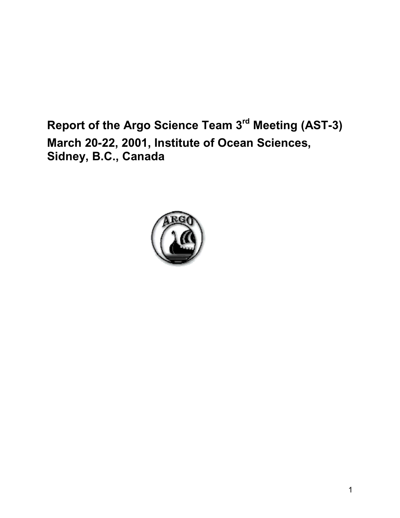**Report of the Argo Science Team 3rd Meeting (AST-3) March 20-22, 2001, Institute of Ocean Sciences, Sidney, B.C., Canada**

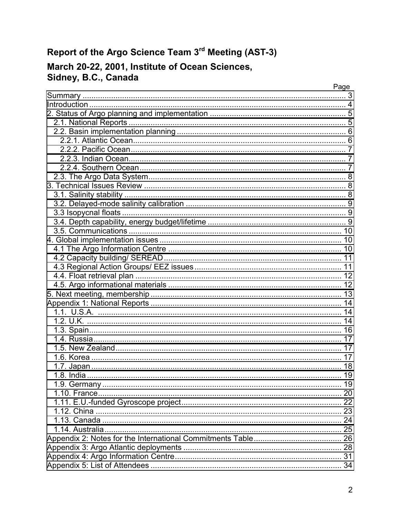## Report of the Argo Science Team 3rd Meeting (AST-3)

# March 20-22, 2001, Institute of Ocean Sciences,<br>Sidney, B.C., Canada

| Page |
|------|
|      |
|      |
|      |
|      |
|      |
|      |
|      |
|      |
|      |
|      |
|      |
|      |
|      |
|      |
|      |
|      |
|      |
|      |
|      |
|      |
|      |
|      |
|      |
|      |
|      |
|      |
|      |
|      |
|      |
|      |
|      |
|      |
|      |
|      |
|      |
|      |
|      |
|      |
|      |
|      |
|      |
|      |
|      |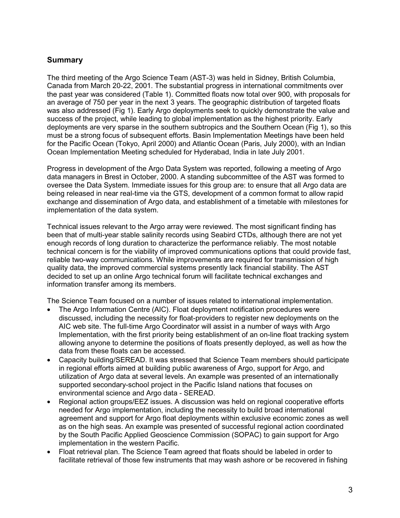## <span id="page-2-0"></span>**Summary**

The third meeting of the Argo Science Team (AST-3) was held in Sidney, British Columbia, Canada from March 20-22, 2001. The substantial progress in international commitments over the past year was considered (Table 1). Committed floats now total over 900, with proposals for an average of 750 per year in the next 3 years. The geographic distribution of targeted floats was also addressed (Fig 1). Early Argo deployments seek to quickly demonstrate the value and success of the project, while leading to global implementation as the highest priority. Early deployments are very sparse in the southern subtropics and the Southern Ocean (Fig 1), so this must be a strong focus of subsequent efforts. Basin Implementation Meetings have been held for the Pacific Ocean (Tokyo, April 2000) and Atlantic Ocean (Paris, July 2000), with an Indian Ocean Implementation Meeting scheduled for Hyderabad, India in late July 2001.

Progress in development of the Argo Data System was reported, following a meeting of Argo data managers in Brest in October, 2000. A standing subcommittee of the AST was formed to oversee the Data System. Immediate issues for this group are: to ensure that all Argo data are being released in near real-time via the GTS, development of a common format to allow rapid exchange and dissemination of Argo data, and establishment of a timetable with milestones for implementation of the data system.

Technical issues relevant to the Argo array were reviewed. The most significant finding has been that of multi-year stable salinity records using Seabird CTDs, although there are not yet enough records of long duration to characterize the performance reliably. The most notable technical concern is for the viability of improved communications options that could provide fast, reliable two-way communications. While improvements are required for transmission of high quality data, the improved commercial systems presently lack financial stability. The AST decided to set up an online Argo technical forum will facilitate technical exchanges and information transfer among its members.

The Science Team focused on a number of issues related to international implementation.

- The Argo Information Centre (AIC). Float deployment notification procedures were discussed, including the necessity for float-providers to register new deployments on the AIC web site. The full-time Argo Coordinator will assist in a number of ways with Argo Implementation, with the first priority being establishment of an on-line float tracking system allowing anyone to determine the positions of floats presently deployed, as well as how the data from these floats can be accessed.
- Capacity building/SEREAD. It was stressed that Science Team members should participate in regional efforts aimed at building public awareness of Argo, support for Argo, and utilization of Argo data at several levels. An example was presented of an internationally supported secondary-school project in the Pacific Island nations that focuses on environmental science and Argo data - SEREAD.
- Regional action groups/EEZ issues. A discussion was held on regional cooperative efforts needed for Argo implementation, including the necessity to build broad international agreement and support for Argo float deployments within exclusive economic zones as well as on the high seas. An example was presented of successful regional action coordinated by the South Pacific Applied Geoscience Commission (SOPAC) to gain support for Argo implementation in the western Pacific.
- Float retrieval plan. The Science Team agreed that floats should be labeled in order to facilitate retrieval of those few instruments that may wash ashore or be recovered in fishing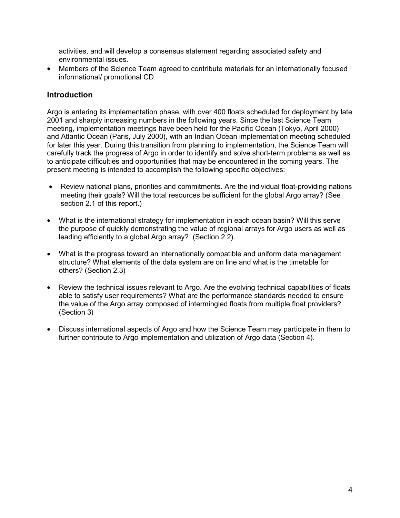<span id="page-3-0"></span>activities, and will develop a consensus statement regarding associated safety and environmental issues.

• Members of the Science Team agreed to contribute materials for an internationally focused informational/ promotional CD.

## **Introduction**

Argo is entering its implementation phase, with over 400 floats scheduled for deployment by late 2001 and sharply increasing numbers in the following years. Since the last Science Team meeting, implementation meetings have been held for the Pacific Ocean (Tokyo, April 2000) and Atlantic Ocean (Paris, July 2000), with an Indian Ocean implementation meeting scheduled for later this year. During this transition from planning to implementation, the Science Team will carefully track the progress of Argo in order to identify and solve short-term problems as well as to anticipate difficulties and opportunities that may be encountered in the coming years. The present meeting is intended to accomplish the following specific objectives:

- Review national plans, priorities and commitments. Are the individual float-providing nations meeting their goals? Will the total resources be sufficient for the global Argo array? (See section 2.1 of this report.)
- What is the international strategy for implementation in each ocean basin? Will this serve the purpose of quickly demonstrating the value of regional arrays for Argo users as well as leading efficiently to a global Argo array? (Section 2.2).
- What is the progress toward an internationally compatible and uniform data management structure? What elements of the data system are on line and what is the timetable for others? (Section 2.3)
- Review the technical issues relevant to Argo. Are the evolving technical capabilities of floats able to satisfy user requirements? What are the performance standards needed to ensure the value of the Argo array composed of intermingled floats from multiple float providers? (Section 3)
- Discuss international aspects of Argo and how the Science Team may participate in them to further contribute to Argo implementation and utilization of Argo data (Section 4).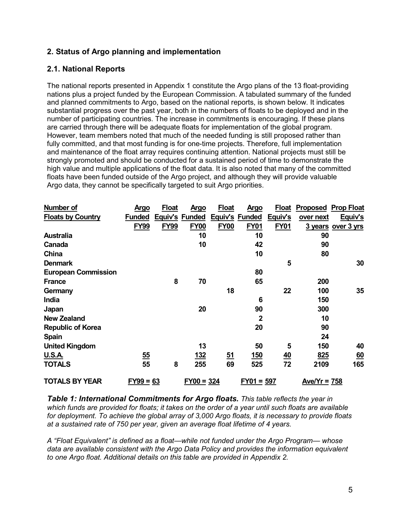## <span id="page-4-0"></span>**2. Status of Argo planning and implementation**

## **2.1. National Reports**

The national reports presented in Appendix 1 constitute the Argo plans of the 13 float-providing nations plus a project funded by the European Commission. A tabulated summary of the funded and planned commitments to Argo, based on the national reports, is shown below. It indicates substantial progress over the past year, both in the numbers of floats to be deployed and in the number of participating countries. The increase in commitments is encouraging. If these plans are carried through there will be adequate floats for implementation of the global program. However, team members noted that much of the needed funding is still proposed rather than fully committed, and that most funding is for one-time projects. Therefore, full implementation and maintenance of the float array requires continuing attention. National projects must still be strongly promoted and should be conducted for a sustained period of time to demonstrate the high value and multiple applications of the float data. It is also noted that many of the committed floats have been funded outside of the Argo project, and although they will provide valuable Argo data, they cannot be specifically targeted to suit Argo priorities.

| <b>Number of</b>           | <b>Argo</b>    | <b>Float</b> | <b>Argo</b>    | <b>Float</b> | <u>Argo</u>    | <b>Float</b>     |                 | <b>Proposed Prop Float</b> |
|----------------------------|----------------|--------------|----------------|--------------|----------------|------------------|-----------------|----------------------------|
| <b>Floats by Country</b>   | <b>Funded</b>  |              | Equiv's Funded |              | Equiv's Funded | Equiv's          | over next       | Equiv's                    |
|                            | <b>FY99</b>    | <b>FY99</b>  | <b>FY00</b>    | <b>FY00</b>  | <b>FY01</b>    | <b>FY01</b>      |                 | 3 years over 3 yrs         |
| <b>Australia</b>           |                |              | 10             |              | 10             |                  | 90              |                            |
| Canada                     |                |              | 10             |              | 42             |                  | 90              |                            |
| China                      |                |              |                |              | 10             |                  | 80              |                            |
| <b>Denmark</b>             |                |              |                |              |                | 5                |                 | 30                         |
| <b>European Commission</b> |                |              |                |              | 80             |                  |                 |                            |
| <b>France</b>              |                | 8            | 70             |              | 65             |                  | 200             |                            |
| Germany                    |                |              |                | 18           |                | 22               | 100             | 35                         |
| India                      |                |              |                |              | 6              |                  | 150             |                            |
| Japan                      |                |              | 20             |              | 90             |                  | 300             |                            |
| <b>New Zealand</b>         |                |              |                |              | $\mathbf{2}$   |                  | 10              |                            |
| <b>Republic of Korea</b>   |                |              |                |              | 20             |                  | 90              |                            |
| <b>Spain</b>               |                |              |                |              |                |                  | 24              |                            |
| <b>United Kingdom</b>      |                |              | 13             |              | 50             | 5                | 150             | 40                         |
| U.S.A.                     | $\frac{55}{5}$ |              | <u>132</u>     | <u>51</u>    | <u>150</u>     | $\underline{40}$ | 825             | $\underline{60}$           |
| <b>TOTALS</b>              | 55             | 8            | 255            | 69           | 525            | 72               | 2109            | 165                        |
| <b>TOTALS BY YEAR</b>      | $FY99 = 63$    |              | $FY00 = 324$   |              | $FY01 = 597$   |                  | Ave/ $Yr = 758$ |                            |

*Table 1: International Commitments for Argo floats. This table reflects the year in which funds are provided for floats; it takes on the order of a year until such floats are available for deployment. To achieve the global array of 3,000 Argo floats, it is necessary to provide floats at a sustained rate of 750 per year, given an average float lifetime of 4 years.*

*A "Float Equivalent" is defined as a float—while not funded under the Argo Program— whose data are available consistent with the Argo Data Policy and provides the information equivalent to one Argo float. Additional details on this table are provided in Appendix 2.*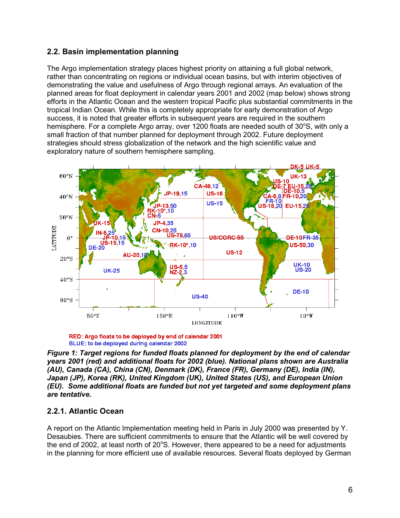## <span id="page-5-0"></span>**2.2. Basin implementation planning**

The Argo implementation strategy places highest priority on attaining a full global network, rather than concentrating on regions or individual ocean basins, but with interim objectives of demonstrating the value and usefulness of Argo through regional arrays. An evaluation of the planned areas for float deployment in calendar years 2001 and 2002 (map below) shows strong efforts in the Atlantic Ocean and the western tropical Pacific plus substantial commitments in the tropical Indian Ocean. While this is completely appropriate for early demonstration of Argo success, it is noted that greater efforts in subsequent years are required in the southern hemisphere. For a complete Argo array, over 1200 floats are needed south of 30°S, with only a small fraction of that number planned for deployment through 2002. Future deployment strategies should stress globalization of the network and the high scientific value and exploratory nature of southern hemisphere sampling.





*Figure 1: Target regions for funded floats planned for deployment by the end of calendar years 2001 (red) and additional floats for 2002 (blue). National plans shown are Australia (AU), Canada (CA), China (CN), Denmark (DK), France (FR), Germany (DE), India (IN), Japan (JP), Korea (RK), United Kingdom (UK), United States (US), and European Union (EU). Some additional floats are funded but not yet targeted and some deployment plans are tentative.*

## **2.2.1. Atlantic Ocean**

A report on the Atlantic Implementation meeting held in Paris in July 2000 was presented by Y. Desaubies. There are sufficient commitments to ensure that the Atlantic will be well covered by the end of 2002, at least north of 20 $^{\circ}$ S. However, there appeared to be a need for adjustments in the planning for more efficient use of available resources. Several floats deployed by German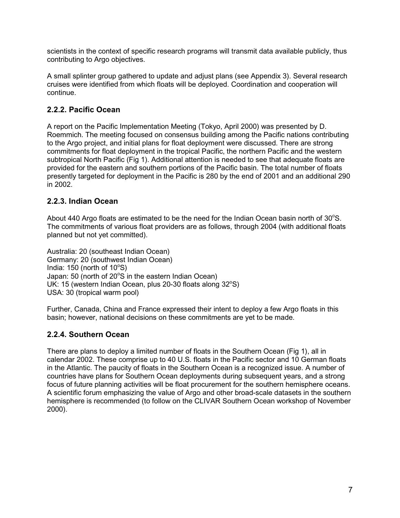<span id="page-6-0"></span>scientists in the context of specific research programs will transmit data available publicly, thus contributing to Argo objectives.

A small splinter group gathered to update and adjust plans (see Appendix 3). Several research cruises were identified from which floats will be deployed. Coordination and cooperation will continue.

## **2.2.2. Pacific Ocean**

A report on the Pacific Implementation Meeting (Tokyo, April 2000) was presented by D. Roemmich. The meeting focused on consensus building among the Pacific nations contributing to the Argo project, and initial plans for float deployment were discussed. There are strong commitments for float deployment in the tropical Pacific, the northern Pacific and the western subtropical North Pacific (Fig 1). Additional attention is needed to see that adequate floats are provided for the eastern and southern portions of the Pacific basin. The total number of floats presently targeted for deployment in the Pacific is 280 by the end of 2001 and an additional 290 in 2002.

## **2.2.3. Indian Ocean**

About 440 Argo floats are estimated to be the need for the Indian Ocean basin north of  $30^{\circ}$ S. The commitments of various float providers are as follows, through 2004 (with additional floats planned but not yet committed).

Australia: 20 (southeast Indian Ocean) Germany: 20 (southwest Indian Ocean) India:  $150$  (north of  $10^{\circ}$ S) Japan: 50 (north of 20°S in the eastern Indian Ocean) UK: 15 (western Indian Ocean, plus 20-30 floats along  $32^{\circ}$ S) USA: 30 (tropical warm pool)

Further, Canada, China and France expressed their intent to deploy a few Argo floats in this basin; however, national decisions on these commitments are yet to be made.

## **2.2.4. Southern Ocean**

There are plans to deploy a limited number of floats in the Southern Ocean (Fig 1), all in calendar 2002. These comprise up to 40 U.S. floats in the Pacific sector and 10 German floats in the Atlantic. The paucity of floats in the Southern Ocean is a recognized issue. A number of countries have plans for Southern Ocean deployments during subsequent years, and a strong focus of future planning activities will be float procurement for the southern hemisphere oceans. A scientific forum emphasizing the value of Argo and other broad-scale datasets in the southern hemisphere is recommended (to follow on the CLIVAR Southern Ocean workshop of November 2000).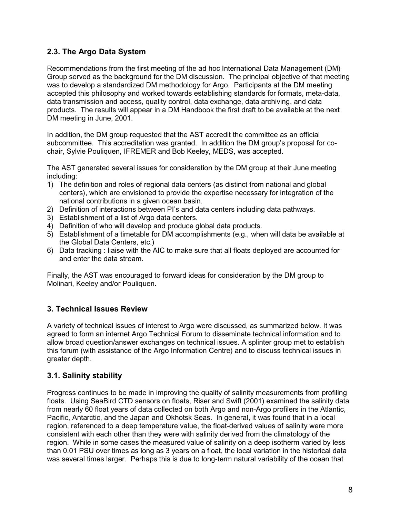## <span id="page-7-0"></span>**2.3. The Argo Data System**

Recommendations from the first meeting of the ad hoc International Data Management (DM) Group served as the background for the DM discussion. The principal objective of that meeting was to develop a standardized DM methodology for Argo. Participants at the DM meeting accepted this philosophy and worked towards establishing standards for formats, meta-data, data transmission and access, quality control, data exchange, data archiving, and data products. The results will appear in a DM Handbook the first draft to be available at the next DM meeting in June, 2001.

In addition, the DM group requested that the AST accredit the committee as an official subcommittee. This accreditation was granted. In addition the DM group's proposal for cochair, Sylvie Pouliquen, IFREMER and Bob Keeley, MEDS, was accepted.

The AST generated several issues for consideration by the DM group at their June meeting including:

- 1) The definition and roles of regional data centers (as distinct from national and global centers), which are envisioned to provide the expertise necessary for integration of the national contributions in a given ocean basin.
- 2) Definition of interactions between PI's and data centers including data pathways.
- 3) Establishment of a list of Argo data centers.
- 4) Definition of who will develop and produce global data products.
- 5) Establishment of a timetable for DM accomplishments (e.g., when will data be available at the Global Data Centers, etc.)
- 6) Data tracking : liaise with the AIC to make sure that all floats deployed are accounted for and enter the data stream.

Finally, the AST was encouraged to forward ideas for consideration by the DM group to Molinari, Keeley and/or Pouliquen.

## **3. Technical Issues Review**

A variety of technical issues of interest to Argo were discussed, as summarized below. It was agreed to form an internet Argo Technical Forum to disseminate technical information and to allow broad question/answer exchanges on technical issues. A splinter group met to establish this forum (with assistance of the Argo Information Centre) and to discuss technical issues in greater depth.

## **3.1. Salinity stability**

Progress continues to be made in improving the quality of salinity measurements from profiling floats. Using SeaBird CTD sensors on floats, Riser and Swift (2001) examined the salinity data from nearly 60 float years of data collected on both Argo and non-Argo profilers in the Atlantic, Pacific, Antarctic, and the Japan and Okhotsk Seas. In general, it was found that in a local region, referenced to a deep temperature value, the float-derived values of salinity were more consistent with each other than they were with salinity derived from the climatology of the region. While in some cases the measured value of salinity on a deep isotherm varied by less than 0.01 PSU over times as long as 3 years on a float, the local variation in the historical data was several times larger. Perhaps this is due to long-term natural variability of the ocean that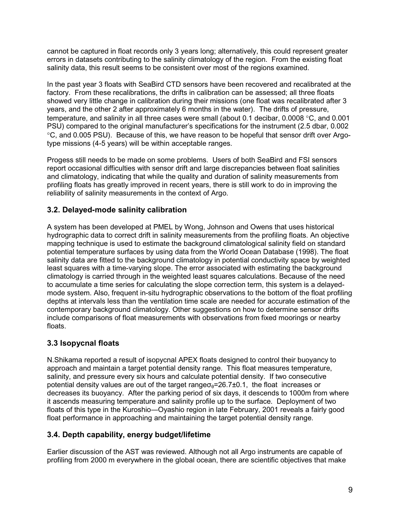<span id="page-8-0"></span>cannot be captured in float records only 3 years long; alternatively, this could represent greater errors in datasets contributing to the salinity climatology of the region. From the existing float salinity data, this result seems to be consistent over most of the regions examined.

In the past year 3 floats with SeaBird CTD sensors have been recovered and recalibrated at the factory. From these recalibrations, the drifts in calibration can be assessed; all three floats showed very little change in calibration during their missions (one float was recalibrated after 3 years, and the other 2 after approximately 6 months in the water). The drifts of pressure, temperature, and salinity in all three cases were small (about 0.1 decibar, 0.0008 °C, and 0.001 PSU) compared to the original manufacturer's specifications for the instrument (2.5 dbar, 0.002 °C, and 0.005 PSU). Because of this, we have reason to be hopeful that sensor drift over Argotype missions (4-5 years) will be within acceptable ranges.

Progess still needs to be made on some problems. Users of both SeaBird and FSI sensors report occasional difficulties with sensor drift and large discrepancies between float salinities and climatology, indicating that while the quality and duration of salinity measurements from profiling floats has greatly improved in recent years, there is still work to do in improving the reliability of salinity measurements in the context of Argo.

## **3.2. Delayed-mode salinity calibration**

A system has been developed at PMEL by Wong, Johnson and Owens that uses historical hydrographic data to correct drift in salinity measurements from the profiling floats. An objective mapping technique is used to estimate the background climatological salinity field on standard potential temperature surfaces by using data from the World Ocean Database (1998). The float salinity data are fitted to the background climatology in potential conductivity space by weighted least squares with a time-varying slope. The error associated with estimating the background climatology is carried through in the weighted least squares calculations. Because of the need to accumulate a time series for calculating the slope correction term, this system is a delayedmode system. Also, frequent in-situ hydrographic observations to the bottom of the float profiling depths at intervals less than the ventilation time scale are needed for accurate estimation of the contemporary background climatology. Other suggestions on how to determine sensor drifts include comparisons of float measurements with observations from fixed moorings or nearby floats.

## **3.3 Isopycnal floats**

N.Shikama reported a result of isopycnal APEX floats designed to control their buoyancy to approach and maintain a target potential density range. This float measures temperature, salinity, and pressure every six hours and calculate potential density. If two consecutive potential density values are out of the target range $\sigma_{\theta}=26.7\pm0.1$ , the float increases or decreases its buoyancy. After the parking period of six days, it descends to 1000m from where it ascends measuring temperature and salinity profile up to the surface. Deployment of two floats of this type in the Kuroshio―Oyashio region in late February, 2001 reveals a fairly good float performance in approaching and maintaining the target potential density range.

## **3.4. Depth capability, energy budget/lifetime**

Earlier discussion of the AST was reviewed. Although not all Argo instruments are capable of profiling from 2000 m everywhere in the global ocean, there are scientific objectives that make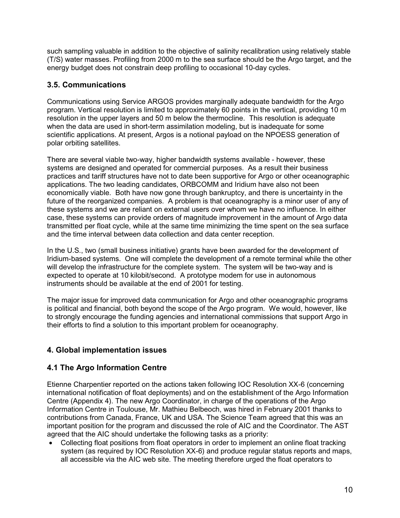<span id="page-9-0"></span>such sampling valuable in addition to the objective of salinity recalibration using relatively stable (T/S) water masses. Profiling from 2000 m to the sea surface should be the Argo target, and the energy budget does not constrain deep profiling to occasional 10-day cycles.

## **3.5. Communications**

Communications using Service ARGOS provides marginally adequate bandwidth for the Argo program. Vertical resolution is limited to approximately 60 points in the vertical, providing 10 m resolution in the upper layers and 50 m below the thermocline. This resolution is adequate when the data are used in short-term assimilation modeling, but is inadequate for some scientific applications. At present, Argos is a notional payload on the NPOESS generation of polar orbiting satellites.

There are several viable two-way, higher bandwidth systems available - however, these systems are designed and operated for commercial purposes. As a result their business practices and tariff structures have not to date been supportive for Argo or other oceanographic applications. The two leading candidates, ORBCOMM and Iridium have also not been economically viable. Both have now gone through bankruptcy, and there is uncertainty in the future of the reorganized companies. A problem is that oceanography is a minor user of any of these systems and we are reliant on external users over whom we have no influence. In either case, these systems can provide orders of magnitude improvement in the amount of Argo data transmitted per float cycle, while at the same time minimizing the time spent on the sea surface and the time interval between data collection and data center reception.

In the U.S., two (small business initiative) grants have been awarded for the development of Iridium-based systems. One will complete the development of a remote terminal while the other will develop the infrastructure for the complete system. The system will be two-way and is expected to operate at 10 kilobit/second. A prototype modem for use in autonomous instruments should be available at the end of 2001 for testing.

The major issue for improved data communication for Argo and other oceanographic programs is political and financial, both beyond the scope of the Argo program. We would, however, like to strongly encourage the funding agencies and international commissions that support Argo in their efforts to find a solution to this important problem for oceanography.

## **4. Global implementation issues**

## **4.1 The Argo Information Centre**

Etienne Charpentier reported on the actions taken following IOC Resolution XX-6 (concerning international notification of float deployments) and on the establishment of the Argo Information Centre (Appendix 4). The new Argo Coordinator, in charge of the operations of the Argo Information Centre in Toulouse, Mr. Mathieu Belbeoch, was hired in February 2001 thanks to contributions from Canada, France, UK and USA. The Science Team agreed that this was an important position for the program and discussed the role of AIC and the Coordinator. The AST agreed that the AIC should undertake the following tasks as a priority:

• Collecting float positions from float operators in order to implement an online float tracking system (as required by IOC Resolution XX-6) and produce regular status reports and maps, all accessible via the AIC web site. The meeting therefore urged the float operators to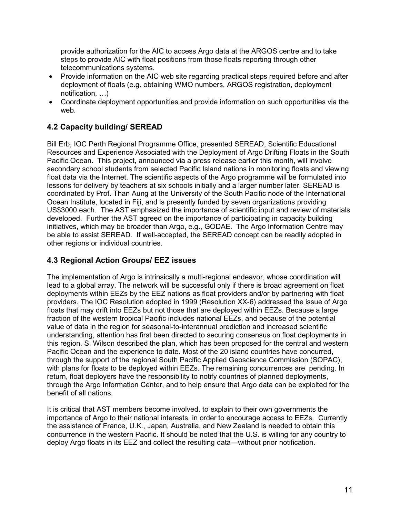<span id="page-10-0"></span>provide authorization for the AIC to access Argo data at the ARGOS centre and to take steps to provide AIC with float positions from those floats reporting through other telecommunications systems.

- Provide information on the AIC web site regarding practical steps required before and after deployment of floats (e.g. obtaining WMO numbers, ARGOS registration, deployment notification, …)
- Coordinate deployment opportunities and provide information on such opportunities via the web.

## **4.2 Capacity building/ SEREAD**

Bill Erb, IOC Perth Regional Programme Office, presented SEREAD, Scientific Educational Resources and Experience Associated with the Deployment of Argo Drifting Floats in the South Pacific Ocean. This project, announced via a press release earlier this month, will involve secondary school students from selected Pacific Island nations in monitoring floats and viewing float data via the Internet. The scientific aspects of the Argo programme will be formulated into lessons for delivery by teachers at six schools initially and a larger number later. SEREAD is coordinated by Prof. Than Aung at the University of the South Pacific node of the International Ocean Institute, located in Fiji, and is presently funded by seven organizations providing US\$3000 each. The AST emphasized the importance of scientific input and review of materials developed. Further the AST agreed on the importance of participating in capacity building initiatives, which may be broader than Argo, e.g., GODAE. The Argo Information Centre may be able to assist SEREAD. If well-accepted, the SEREAD concept can be readily adopted in other regions or individual countries.

## **4.3 Regional Action Groups/ EEZ issues**

The implementation of Argo is intrinsically a multi-regional endeavor, whose coordination will lead to a global array. The network will be successful only if there is broad agreement on float deployments within EEZs by the EEZ nations as float providers and/or by partnering with float providers. The IOC Resolution adopted in 1999 (Resolution XX-6) addressed the issue of Argo floats that may drift into EEZs but not those that are deployed within EEZs. Because a large fraction of the western tropical Pacific includes national EEZs, and because of the potential value of data in the region for seasonal-to-interannual prediction and increased scientific understanding, attention has first been directed to securing consensus on float deployments in this region. S. Wilson described the plan, which has been proposed for the central and western Pacific Ocean and the experience to date. Most of the 20 island countries have concurred, through the support of the regional South Pacific Applied Geoscience Commission (SOPAC), with plans for floats to be deployed within EEZs. The remaining concurrences are pending. In return, float deployers have the responsibility to notify countries of planned deployments, through the Argo Information Center, and to help ensure that Argo data can be exploited for the benefit of all nations.

It is critical that AST members become involved, to explain to their own governments the importance of Argo to their national interests, in order to encourage access to EEZs. Currently the assistance of France, U.K., Japan, Australia, and New Zealand is needed to obtain this concurrence in the western Pacific. It should be noted that the U.S. is willing for any country to deploy Argo floats in its EEZ and collect the resulting data—without prior notification.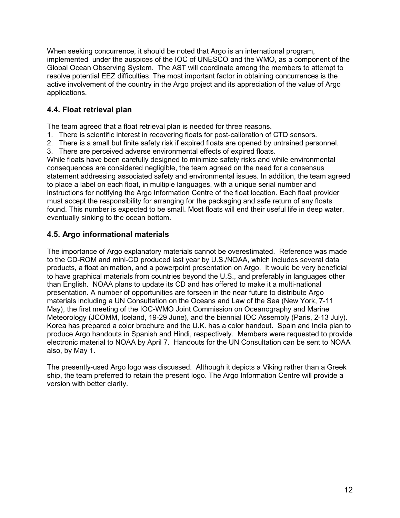<span id="page-11-0"></span>When seeking concurrence, it should be noted that Argo is an international program, implemented under the auspices of the IOC of UNESCO and the WMO, as a component of the Global Ocean Observing System. The AST will coordinate among the members to attempt to resolve potential EEZ difficulties. The most important factor in obtaining concurrences is the active involvement of the country in the Argo project and its appreciation of the value of Argo applications.

## **4.4. Float retrieval plan**

The team agreed that a float retrieval plan is needed for three reasons.

- 1. There is scientific interest in recovering floats for post-calibration of CTD sensors.
- 2. There is a small but finite safety risk if expired floats are opened by untrained personnel.
- 3. There are perceived adverse environmental effects of expired floats.

While floats have been carefully designed to minimize safety risks and while environmental consequences are considered negligible, the team agreed on the need for a consensus statement addressing associated safety and environmental issues. In addition, the team agreed to place a label on each float, in multiple languages, with a unique serial number and instructions for notifying the Argo Information Centre of the float location. Each float provider must accept the responsibility for arranging for the packaging and safe return of any floats found. This number is expected to be small. Most floats will end their useful life in deep water, eventually sinking to the ocean bottom.

## **4.5. Argo informational materials**

The importance of Argo explanatory materials cannot be overestimated. Reference was made to the CD-ROM and mini-CD produced last year by U.S./NOAA, which includes several data products, a float animation, and a powerpoint presentation on Argo. It would be very beneficial to have graphical materials from countries beyond the U.S., and preferably in languages other than English. NOAA plans to update its CD and has offered to make it a multi-national presentation. A number of opportunities are forseen in the near future to distribute Argo materials including a UN Consultation on the Oceans and Law of the Sea (New York, 7-11 May), the first meeting of the IOC-WMO Joint Commission on Oceanography and Marine Meteorology (JCOMM, Iceland, 19-29 June), and the biennial IOC Assembly (Paris, 2-13 July). Korea has prepared a color brochure and the U.K. has a color handout. Spain and India plan to produce Argo handouts in Spanish and Hindi, respectively. Members were requested to provide electronic material to NOAA by April 7. Handouts for the UN Consultation can be sent to NOAA also, by May 1.

The presently-used Argo logo was discussed. Although it depicts a Viking rather than a Greek ship, the team preferred to retain the present logo. The Argo Information Centre will provide a version with better clarity.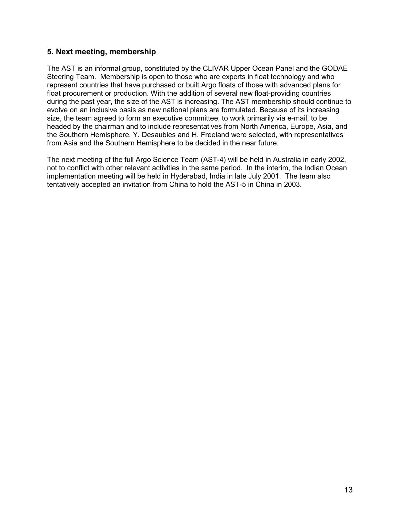## <span id="page-12-0"></span>**5. Next meeting, membership**

The AST is an informal group, constituted by the CLIVAR Upper Ocean Panel and the GODAE Steering Team. Membership is open to those who are experts in float technology and who represent countries that have purchased or built Argo floats of those with advanced plans for float procurement or production. With the addition of several new float-providing countries during the past year, the size of the AST is increasing. The AST membership should continue to evolve on an inclusive basis as new national plans are formulated. Because of its increasing size, the team agreed to form an executive committee, to work primarily via e-mail, to be headed by the chairman and to include representatives from North America, Europe, Asia, and the Southern Hemisphere. Y. Desaubies and H. Freeland were selected, with representatives from Asia and the Southern Hemisphere to be decided in the near future.

The next meeting of the full Argo Science Team (AST-4) will be held in Australia in early 2002, not to conflict with other relevant activities in the same period. In the interim, the Indian Ocean implementation meeting will be held in Hyderabad, India in late July 2001. The team also tentatively accepted an invitation from China to hold the AST-5 in China in 2003.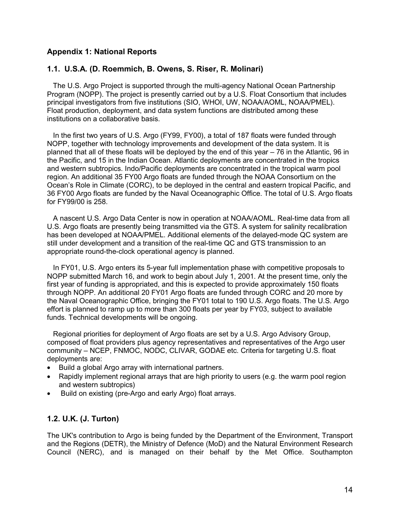## <span id="page-13-0"></span>**Appendix 1: National Reports**

#### **1.1. U.S.A. (D. Roemmich, B. Owens, S. Riser, R. Molinari)**

 The U.S. Argo Project is supported through the multi-agency National Ocean Partnership Program (NOPP). The project is presently carried out by a U.S. Float Consortium that includes principal investigators from five institutions (SIO, WHOI, UW, NOAA/AOML, NOAA/PMEL). Float production, deployment, and data system functions are distributed among these institutions on a collaborative basis.

 In the first two years of U.S. Argo (FY99, FY00), a total of 187 floats were funded through NOPP, together with technology improvements and development of the data system. It is planned that all of these floats will be deployed by the end of this year – 76 in the Atlantic, 96 in the Pacific, and 15 in the Indian Ocean. Atlantic deployments are concentrated in the tropics and western subtropics. Indo/Pacific deployments are concentrated in the tropical warm pool region. An additional 35 FY00 Argo floats are funded through the NOAA Consortium on the Ocean's Role in Climate (CORC), to be deployed in the central and eastern tropical Pacific, and 36 FY00 Argo floats are funded by the Naval Oceanographic Office. The total of U.S. Argo floats for FY99/00 is 258.

 A nascent U.S. Argo Data Center is now in operation at NOAA/AOML. Real-time data from all U.S. Argo floats are presently being transmitted via the GTS. A system for salinity recalibration has been developed at NOAA/PMEL. Additional elements of the delayed-mode QC system are still under development and a transition of the real-time QC and GTS transmission to an appropriate round-the-clock operational agency is planned.

 In FY01, U.S. Argo enters its 5-year full implementation phase with competitive proposals to NOPP submitted March 16, and work to begin about July 1, 2001. At the present time, only the first year of funding is appropriated, and this is expected to provide approximately 150 floats through NOPP. An additional 20 FY01 Argo floats are funded through CORC and 20 more by the Naval Oceanographic Office, bringing the FY01 total to 190 U.S. Argo floats. The U.S. Argo effort is planned to ramp up to more than 300 floats per year by FY03, subject to available funds. Technical developments will be ongoing.

 Regional priorities for deployment of Argo floats are set by a U.S. Argo Advisory Group, composed of float providers plus agency representatives and representatives of the Argo user community – NCEP, FNMOC, NODC, CLIVAR, GODAE etc. Criteria for targeting U.S. float deployments are:

- Build a global Argo array with international partners.
- Rapidly implement regional arrays that are high priority to users (e.g. the warm pool region and western subtropics)
- Build on existing (pre-Argo and early Argo) float arrays.

## **1.2. U.K. (J. Turton)**

The UK's contribution to Argo is being funded by the Department of the Environment, Transport and the Regions (DETR), the Ministry of Defence (MoD) and the Natural Environment Research Council (NERC), and is managed on their behalf by the Met Office. Southampton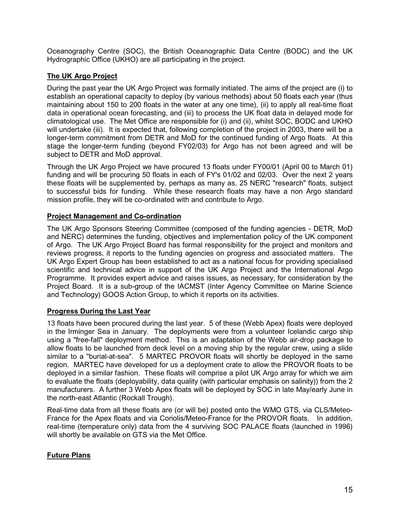Oceanography Centre (SOC), the British Oceanographic Data Centre (BODC) and the UK Hydrographic Office (UKHO) are all participating in the project.

## **The UK Argo Project**

During the past year the UK Argo Project was formally initiated. The aims of the project are (i) to establish an operational capacity to deploy (by various methods) about 50 floats each year (thus maintaining about 150 to 200 floats in the water at any one time), (ii) to apply all real-time float data in operational ocean forecasting, and (iii) to process the UK float data in delayed mode for climatological use. The Met Office are responsible for (i) and (ii), whilst SOC, BODC and UKHO will undertake (iii). It is expected that, following completion of the project in 2003, there will be a longer-term commitment from DETR and MoD for the continued funding of Argo floats. At this stage the longer-term funding (beyond FY02/03) for Argo has not been agreed and will be subject to DETR and MoD approval.

Through the UK Argo Project we have procured 13 floats under FY00/01 (April 00 to March 01) funding and will be procuring 50 floats in each of FY's 01/02 and 02/03. Over the next 2 years these floats will be supplemented by, perhaps as many as, 25 NERC "research" floats, subject to successful bids for funding. While these research floats may have a non Argo standard mission profile, they will be co-ordinated with and contribute to Argo.

## **Project Management and Co-ordination**

The UK Argo Sponsors Steering Committee (composed of the funding agencies - DETR, MoD and NERC) determines the funding, objectives and implementation policy of the UK component of Argo. The UK Argo Project Board has formal responsibility for the project and monitors and reviews progress, it reports to the funding agencies on progress and associated matters. The UK Argo Expert Group has been established to act as a national focus for providing specialised scientific and technical advice in support of the UK Argo Project and the International Argo Programme. It provides expert advice and raises issues, as necessary, for consideration by the Project Board. It is a sub-group of the IACMST (Inter Agency Committee on Marine Science and Technology) GOOS Action Group, to which it reports on its activities.

## **Progress During the Last Year**

13 floats have been procured during the last year. 5 of these (Webb Apex) floats were deployed in the Irminger Sea in January. The deployments were from a volunteer Icelandic cargo ship using a "free-fall" deployment method. This is an adaptation of the Webb air-drop package to allow floats to be launched from deck level on a moving ship by the regular crew, using a slide similar to a "burial-at-sea". 5 MARTEC PROVOR floats will shortly be deployed in the same region. MARTEC have developed for us a deployment crate to allow the PROVOR floats to be deployed in a similar fashion. These floats will comprise a pilot UK Argo array for which we aim to evaluate the floats (deployability, data quality (with particular emphasis on salinity)) from the 2 manufacturers. A further 3 Webb Apex floats will be deployed by SOC in late May/early June in the north-east Atlantic (Rockall Trough).

Real-time data from all these floats are (or will be) posted onto the WMO GTS, via CLS/Meteo-France for the Apex floats and via Coriolis/Meteo-France for the PROVOR floats. In addition, real-time (temperature only) data from the 4 surviving SOC PALACE floats (launched in 1996) will shortly be available on GTS via the Met Office.

## **Future Plans**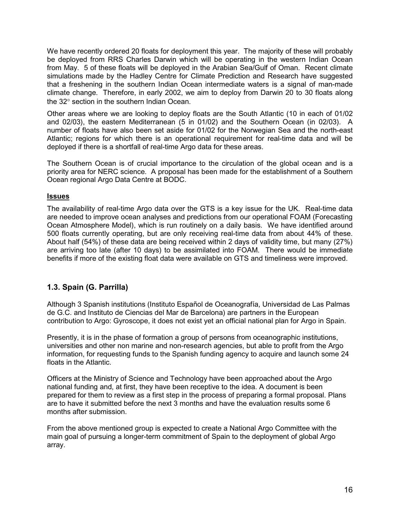<span id="page-15-0"></span>We have recently ordered 20 floats for deployment this year. The majority of these will probably be deployed from RRS Charles Darwin which will be operating in the western Indian Ocean from May. 5 of these floats will be deployed in the Arabian Sea/Gulf of Oman. Recent climate simulations made by the Hadley Centre for Climate Prediction and Research have suggested that a freshening in the southern Indian Ocean intermediate waters is a signal of man-made climate change. Therefore, in early 2002, we aim to deploy from Darwin 20 to 30 floats along the 32° section in the southern Indian Ocean.

Other areas where we are looking to deploy floats are the South Atlantic (10 in each of 01/02 and 02/03), the eastern Mediterranean (5 in 01/02) and the Southern Ocean (in 02/03). A number of floats have also been set aside for 01/02 for the Norwegian Sea and the north-east Atlantic; regions for which there is an operational requirement for real-time data and will be deployed if there is a shortfall of real-time Argo data for these areas.

The Southern Ocean is of crucial importance to the circulation of the global ocean and is a priority area for NERC science. A proposal has been made for the establishment of a Southern Ocean regional Argo Data Centre at BODC.

#### **Issues**

The availability of real-time Argo data over the GTS is a key issue for the UK. Real-time data are needed to improve ocean analyses and predictions from our operational FOAM (Forecasting Ocean Atmosphere Model), which is run routinely on a daily basis. We have identified around 500 floats currently operating, but are only receiving real-time data from about 44% of these. About half (54%) of these data are being received within 2 days of validity time, but many (27%) are arriving too late (after 10 days) to be assimilated into FOAM. There would be immediate benefits if more of the existing float data were available on GTS and timeliness were improved.

## **1.3. Spain (G. Parrilla)**

Although 3 Spanish institutions (Instituto Español de Oceanografía, Universidad de Las Palmas de G.C. and Instituto de Ciencias del Mar de Barcelona) are partners in the European contribution to Argo: Gyroscope, it does not exist yet an official national plan for Argo in Spain.

Presently, it is in the phase of formation a group of persons from oceanographic institutions, universities and other non marine and non-research agencies, but able to profit from the Argo information, for requesting funds to the Spanish funding agency to acquire and launch some 24 floats in the Atlantic.

Officers at the Ministry of Science and Technology have been approached about the Argo national funding and, at first, they have been receptive to the idea. A document is been prepared for them to review as a first step in the process of preparing a formal proposal. Plans are to have it submitted before the next 3 months and have the evaluation results some 6 months after submission.

From the above mentioned group is expected to create a National Argo Committee with the main goal of pursuing a longer-term commitment of Spain to the deployment of global Argo array.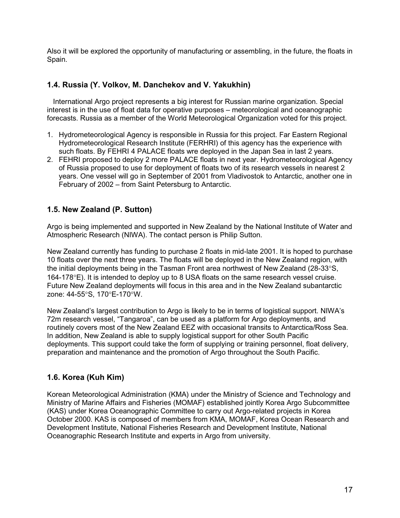<span id="page-16-0"></span>Also it will be explored the opportunity of manufacturing or assembling, in the future, the floats in Spain.

## **1.4. Russia (Y. Volkov, M. Danchekov and V. Yakukhin)**

 International Argo project represents a big interest for Russian marine organization. Special interest is in the use of float data for operative purposes – meteorological and oceanographic forecasts. Russia as a member of the World Meteorological Organization voted for this project.

- 1. Hydrometeorological Agency is responsible in Russia for this project. Far Eastern Regional Hydrometeorological Research Institute (FERHRI) of this agency has the experience with such floats. By FEHRI 4 PALACE floats wre deployed in the Japan Sea in last 2 years.
- 2. FEHRI proposed to deploy 2 more PALACE floats in next year. Hydrometeorological Agency of Russia proposed to use for deployment of floats two of its research vessels in nearest 2 years. One vessel will go in September of 2001 from Vladivostok to Antarctic, another one in February of 2002 – from Saint Petersburg to Antarctic.

## **1.5. New Zealand (P. Sutton)**

Argo is being implemented and supported in New Zealand by the National Institute of Water and Atmospheric Research (NIWA). The contact person is Philip Sutton.

New Zealand currently has funding to purchase 2 floats in mid-late 2001. It is hoped to purchase 10 floats over the next three years. The floats will be deployed in the New Zealand region, with the initial deployments being in the Tasman Front area northwest of New Zealand (28-33°S, 164-178°E). It is intended to deploy up to 8 USA floats on the same research vessel cruise. Future New Zealand deployments will focus in this area and in the New Zealand subantarctic zone: 44-55°S, 170°E-170°W.

New Zealand's largest contribution to Argo is likely to be in terms of logistical support. NIWA's 72m research vessel, "Tangaroa", can be used as a platform for Argo deployments, and routinely covers most of the New Zealand EEZ with occasional transits to Antarctica/Ross Sea. In addition, New Zealand is able to supply logistical support for other South Pacific deployments. This support could take the form of supplying or training personnel, float delivery, preparation and maintenance and the promotion of Argo throughout the South Pacific.

## **1.6. Korea (Kuh Kim)**

Korean Meteorological Administration (KMA) under the Ministry of Science and Technology and Ministry of Marine Affairs and Fisheries (MOMAF) established jointly Korea Argo Subcommittee (KAS) under Korea Oceanographic Committee to carry out Argo-related projects in Korea October 2000. KAS is composed of members from KMA, MOMAF, Korea Ocean Research and Development Institute, National Fisheries Research and Development Institute, National Oceanographic Research Institute and experts in Argo from university.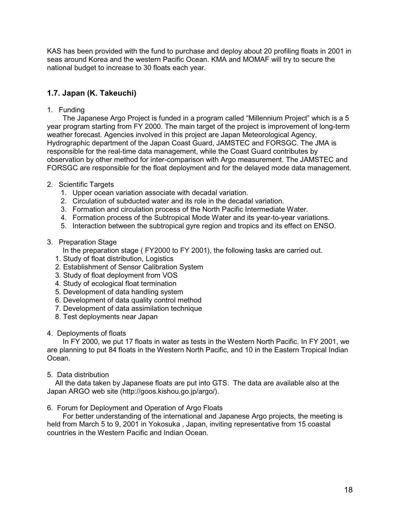<span id="page-17-0"></span>KAS has been provided with the fund to purchase and deploy about 20 profiling floats in 2001 in seas around Korea and the western Pacific Ocean. KMA and MOMAF will try to secure the national budget to increase to 30 floats each year.

## **1.7. Japan (K. Takeuchi)**

1. Funding

The Japanese Argo Project is funded in a program called "Millennium Project" which is a 5 year program starting from FY 2000. The main target of the project is improvement of long-term weather forecast. Agencies involved in this project are Japan Meteorological Agency, Hydrographic department of the Japan Coast Guard, JAMSTEC and FORSGC. The JMA is responsible for the real-time data management, while the Coast Guard contributes by observation by other method for inter-comparison with Argo measurement. The JAMSTEC and FORSGC are responsible for the float deployment and for the delayed mode data management.

- 2. Scientific Targets
	- 1. Upper ocean variation associate with decadal variation.
	- 2. Circulation of subducted water and its role in the decadal variation.
	- 3. Formation and circulation process of the North Pacific Intermediate Water.
	- 4. Formation process of the Subtropical Mode Water and its year-to-year variations.
	- 5. Interaction between the subtropical gyre region and tropics and its effect on ENSO.

#### 3. Preparation Stage

In the preparation stage ( FY2000 to FY 2001), the following tasks are carried out.

- 1. Study of float distribution, Logistics
- 2. Establishment of Sensor Calibration System
- 3. Study of float deployment from VOS
- 4. Study of ecological float termination
- 5. Development of data handling system
- 6. Development of data quality control method
- 7. Development of data assimilation technique
- 8. Test deployments near Japan
- 4. Deployments of floats

In FY 2000, we put 17 floats in water as tests in the Western North Pacific. In FY 2001, we are planning to put 84 floats in the Western North Pacific, and 10 in the Eastern Tropical Indian Ocean.

5. Data distribution

 All the data taken by Japanese floats are put into GTS. The data are available also at the Japan ARGO web site (http://goos.kishou.go.jp/argo/).

#### 6. Forum for Deployment and Operation of Argo Floats

For better understanding of the international and Japanese Argo projects, the meeting is held from March 5 to 9, 2001 in Yokosuka , Japan, inviting representative from 15 coastal countries in the Western Pacific and Indian Ocean.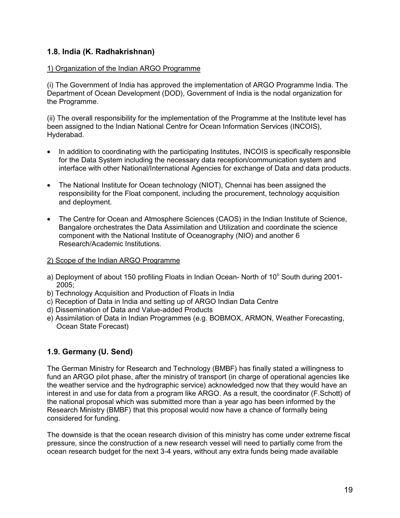## <span id="page-18-0"></span>**1.8. India (K. Radhakrishnan)**

#### 1) Organization of the Indian ARGO Programme

(i) The Government of India has approved the implementation of ARGO Programme India. The Department of Ocean Development (DOD), Government of India is the nodal organization for the Programme.

(ii) The overall responsibility for the implementation of the Programme at the Institute level has been assigned to the Indian National Centre for Ocean Information Services (INCOIS), Hyderabad.

- In addition to coordinating with the participating Institutes, INCOIS is specifically responsible for the Data System including the necessary data reception/communication system and interface with other National/International Agencies for exchange of Data and data products.
- The National Institute for Ocean technology (NIOT), Chennai has been assigned the responsibility for the Float component, including the procurement, technology acquisition and deployment.
- The Centre for Ocean and Atmosphere Sciences (CAOS) in the Indian Institute of Science, Bangalore orchestrates the Data Assimilation and Utilization and coordinate the science component with the National Institute of Oceanography (NIO) and another 6 Research/Academic Institutions.

#### 2) Scope of the Indian ARGO Programme

- a) Deployment of about 150 profiling Floats in Indian Ocean- North of 10° South during 2001-2005;
- b) Technology Acquisition and Production of Floats in India
- c) Reception of Data in India and setting up of ARGO Indian Data Centre
- d) Dissemination of Data and Value-added Products
- e) Assimilation of Data in Indian Programmes (e.g. BOBMOX, ARMON, Weather Forecasting, Ocean State Forecast)

## **1.9. Germany (U. Send)**

The German Ministry for Research and Technology (BMBF) has finally stated a willingness to fund an ARGO pilot phase, after the ministry of transport (in charge of operational agencies like the weather service and the hydrographic service) acknowledged now that they would have an interest in and use for data from a program like ARGO. As a result, the coordinator (F.Schott) of the national proposal which was submitted more than a year ago has been informed by the Research Ministry (BMBF) that this proposal would now have a chance of formally being considered for funding.

The downside is that the ocean research division of this ministry has come under extreme fiscal pressure, since the construction of a new research vessel will need to partially come from the ocean research budget for the next 3-4 years, without any extra funds being made available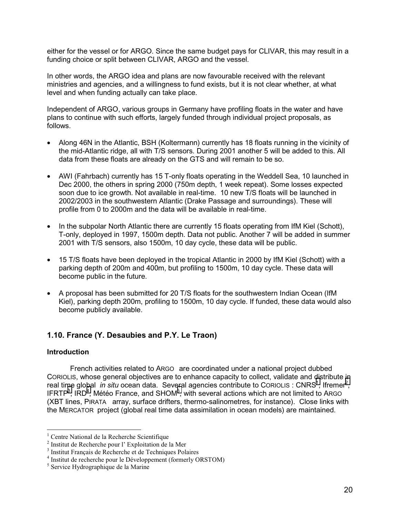<span id="page-19-0"></span>either for the vessel or for ARGO. Since the same budget pays for CLIVAR, this may result in a funding choice or split between CLIVAR, ARGO and the vessel.

In other words, the ARGO idea and plans are now favourable received with the relevant ministries and agencies, and a willingness to fund exists, but it is not clear whether, at what level and when funding actually can take place.

Independent of ARGO, various groups in Germany have profiling floats in the water and have plans to continue with such efforts, largely funded through individual project proposals, as follows.

- Along 46N in the Atlantic, BSH (Koltermann) currently has 18 floats running in the vicinity of the mid-Atlantic ridge, all with T/S sensors. During 2001 another 5 will be added to this. All data from these floats are already on the GTS and will remain to be so.
- AWI (Fahrbach) currently has 15 T-only floats operating in the Weddell Sea, 10 launched in Dec 2000, the others in spring 2000 (750m depth, 1 week repeat). Some losses expected soon due to ice growth. Not available in real-time. 10 new T/S floats will be launched in 2002/2003 in the southwestern Atlantic (Drake Passage and surroundings). These will profile from 0 to 2000m and the data will be available in real-time.
- In the subpolar North Atlantic there are currently 15 floats operating from IfM Kiel (Schott), T-only, deployed in 1997, 1500m depth. Data not public. Another 7 will be added in summer 2001 with T/S sensors, also 1500m, 10 day cycle, these data will be public.
- 15 T/S floats have been deployed in the tropical Atlantic in 2000 by IfM Kiel (Schott) with a parking depth of 200m and 400m, but profiling to 1500m, 10 day cycle. These data will become public in the future.
- A proposal has been submitted for 20 T/S floats for the southwestern Indian Ocean (IfM Kiel), parking depth 200m, profiling to 1500m, 10 day cycle. If funded, these data would also become publicly available.

## **1.10. France (Y. Desaubies and P.Y. Le Traon)**

#### **Introduction**

 $\overline{a}$ 

French activities related to ARGO are coordinated under a national project dubbed CORIOLIS, whose general objectives are to enhance capacity to collect, validate and distribute in real time global *in situ* ocean data. Several agencies contribute to CoRIOLIS : CNRS<sup>1</sup>, Ifremer<sup>2</sup>, IFRTP<sup>3</sup>, IRD<sup>4</sup>, Météo France, and SHOM<sup>5</sup>, with several actions which are not limited to ARGO (XBT lines, PIRATA array, surface drifters, thermo-salinometres, for instance). Close links with the MERCATOR project (global real time data assimilation in ocean models) are maintained.

<sup>&</sup>lt;sup>1</sup> Centre National de la Recherche Scientifique

<sup>&</sup>lt;sup>2</sup> Institut de Recherche pour l' Exploitation de la Mer

<sup>3</sup> Institut Français de Recherche et de Techniques Polaires

<sup>4</sup> Institut de recherche pour le Développement (formerly ORSTOM)

<sup>5</sup> Service Hydrographique de la Marine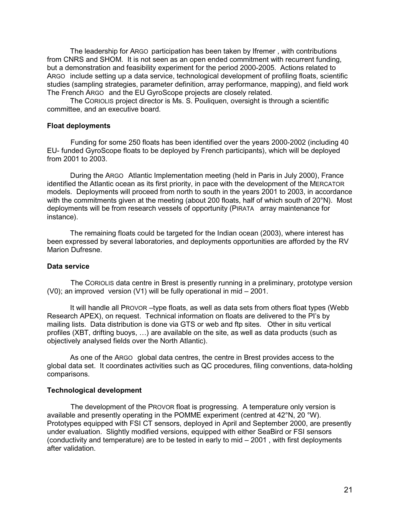The leadership for ARGO participation has been taken by Ifremer , with contributions from CNRS and SHOM. It is not seen as an open ended commitment with recurrent funding, but a demonstration and feasibility experiment for the period 2000-2005. Actions related to ARGO include setting up a data service, technological development of profiling floats, scientific studies (sampling strategies, parameter definition, array performance, mapping), and field work The French ARGO and the EU GyroScope projects are closely related.

The CORIOLIS project director is Ms. S. Pouliquen, oversight is through a scientific committee, and an executive board.

#### **Float deployments**

Funding for some 250 floats has been identified over the years 2000-2002 (including 40 EU- funded GyroScope floats to be deployed by French participants), which will be deployed from 2001 to 2003.

During the ARGO Atlantic Implementation meeting (held in Paris in July 2000), France identified the Atlantic ocean as its first priority, in pace with the development of the MERCATOR models. Deployments will proceed from north to south in the years 2001 to 2003, in accordance with the commitments given at the meeting (about 200 floats, half of which south of 20°N). Most deployments will be from research vessels of opportunity (PIRATA array maintenance for instance).

The remaining floats could be targeted for the Indian ocean (2003), where interest has been expressed by several laboratories, and deployments opportunities are afforded by the RV Marion Dufresne.

#### **Data service**

The CORIOLIS data centre in Brest is presently running in a preliminary, prototype version (V0); an improved version (V1) will be fully operational in mid – 2001.

It will handle all PROVOR –type floats, as well as data sets from others float types (Webb Research APEX), on request. Technical information on floats are delivered to the PI's by mailing lists. Data distribution is done via GTS or web and ftp sites. Other in situ vertical profiles (XBT, drifting buoys, …) are available on the site, as well as data products (such as objectively analysed fields over the North Atlantic).

As one of the ARGO global data centres, the centre in Brest provides access to the global data set. It coordinates activities such as QC procedures, filing conventions, data-holding comparisons.

#### **Technological development**

The development of the PROVOR float is progressing. A temperature only version is available and presently operating in the POMME experiment (centred at 42°N, 20 °W). Prototypes equipped with FSI CT sensors, deployed in April and September 2000, are presently under evaluation. Slightly modified versions, equipped with either SeaBird or FSI sensors (conductivity and temperature) are to be tested in early to mid – 2001 , with first deployments after validation.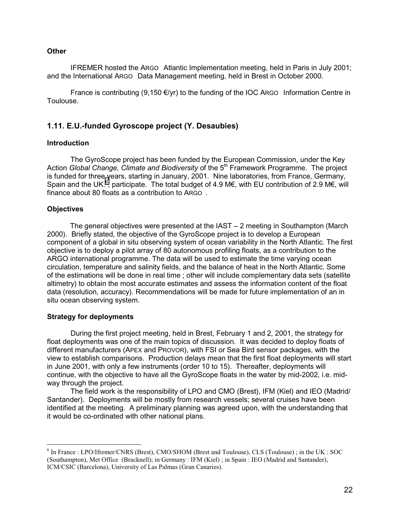#### <span id="page-21-0"></span>**Other**

IFREMER hosted the ARGO Atlantic Implementation meeting, held in Paris in July 2001; and the International ARGO Data Management meeting, held in Brest in October 2000.

France is contributing  $(9,150 \text{ E/yr})$  to the funding of the IOC ARGO Information Centre in Toulouse.

## **1.11. E.U.-funded Gyroscope project (Y. Desaubies)**

#### **Introduction**

The GyroScope project has been funded by the European Commission, under the Key Action *Global Change, Climate and Biodiversity* of the 5<sup>th</sup> Framework Programme. The project is funded for three years, starting in January, 2001. Nine laboratories, from France, Germany, Spain and the UK.<sup>6</sup>, participate. The total budget of 4.9 M€, with EU contribution of 2.9 M€, will finance about 80 floats as a contribution to ARGO .

#### **Objectives**

The general objectives were presented at the IAST – 2 meeting in Southampton (March 2000). Briefly stated, the objective of the GyroScope project is to develop a European component of a global in situ observing system of ocean variability in the North Atlantic. The first objective is to deploy a pilot array of 80 autonomous profiling floats, as a contribution to the ARGO international programme. The data will be used to estimate the time varying ocean circulation, temperature and salinity fields, and the balance of heat in the North Atlantic. Some of the estimations will be done in real time ; other will include complementary data sets (satellite altimetry) to obtain the most accurate estimates and assess the information content of the float data (resolution, accuracy). Recommendations will be made for future implementation of an in situ ocean observing system.

#### **Strategy for deployments**

During the first project meeting, held in Brest, February 1 and 2, 2001, the strategy for float deployments was one of the main topics of discussion. It was decided to deploy floats of different manufacturers (APEX and PROVOR), with FSI or Sea Bird sensor packages, with the view to establish comparisons. Production delays mean that the first float deployments will start in June 2001, with only a few instruments (order 10 to 15). Thereafter, deployments will continue, with the objective to have all the GyroScope floats in the water by mid-2002, i.e. midway through the project.

The field work is the responsibility of LPO and CMO (Brest), IFM (Kiel) and IEO (Madrid/ Santander). Deployments will be mostly from research vessels; several cruises have been identified at the meeting. A preliminary planning was agreed upon, with the understanding that it would be co-ordinated with other national plans.

 6 In France : LPO/Ifremer/CNRS (Brest), CMO/SHOM (Brest and Toulouse), CLS (Toulouse) ; in the UK : SOC (Southampton), Met Office (Bracknell); in Germany : IFM (Kiel) ; in Spain : IEO (Madrid and Santander), ICM/CSIC (Barcelona), University of Las Palmas (Gran Canaries).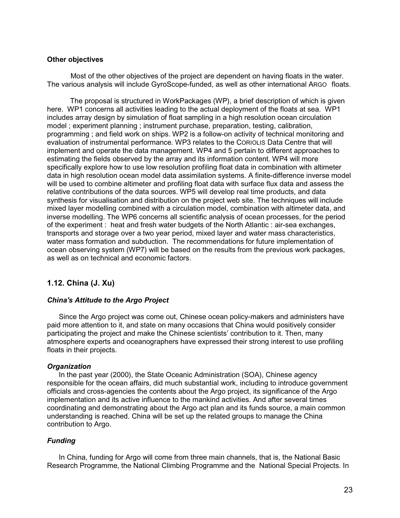#### <span id="page-22-0"></span>**Other objectives**

Most of the other objectives of the project are dependent on having floats in the water. The various analysis will include GyroScope-funded, as well as other international ARGO floats.

The proposal is structured in WorkPackages (WP), a brief description of which is given here. WP1 concerns all activities leading to the actual deployment of the floats at sea. WP1 includes array design by simulation of float sampling in a high resolution ocean circulation model ; experiment planning ; instrument purchase, preparation, testing, calibration, programming ; and field work on ships. WP2 is a follow-on activity of technical monitoring and evaluation of instrumental performance. WP3 relates to the CORIOLIS Data Centre that will implement and operate the data management. WP4 and 5 pertain to different approaches to estimating the fields observed by the array and its information content. WP4 will more specifically explore how to use low resolution profiling float data in combination with altimeter data in high resolution ocean model data assimilation systems. A finite-difference inverse model will be used to combine altimeter and profiling float data with surface flux data and assess the relative contributions of the data sources. WP5 will develop real time products, and data synthesis for visualisation and distribution on the project web site. The techniques will include mixed layer modelling combined with a circulation model, combination with altimeter data, and inverse modelling. The WP6 concerns all scientific analysis of ocean processes, for the period of the experiment : heat and fresh water budgets of the North Atlantic : air-sea exchanges, transports and storage over a two year period, mixed layer and water mass characteristics, water mass formation and subduction. The recommendations for future implementation of ocean observing system (WP7) will be based on the results from the previous work packages, as well as on technical and economic factors.

## **1.12. China (J. Xu)**

#### *China's Attitude to the Argo Project*

Since the Argo project was come out, Chinese ocean policy-makers and administers have paid more attention to it, and state on many occasions that China would positively consider participating the project and make the Chinese scientists' contribution to it. Then, many atmosphere experts and oceanographers have expressed their strong interest to use profiling floats in their projects.

#### *Organization*

In the past year (2000), the State Oceanic Administration (SOA), Chinese agency responsible for the ocean affairs, did much substantial work, including to introduce government officials and cross-agencies the contents about the Argo project, its significance of the Argo implementation and its active influence to the mankind activities. And after several times coordinating and demonstrating about the Argo act plan and its funds source, a main common understanding is reached. China will be set up the related groups to manage the China contribution to Argo.

#### *Funding*

In China, funding for Argo will come from three main channels, that is, the National Basic Research Programme, the National Climbing Programme and the National Special Projects. In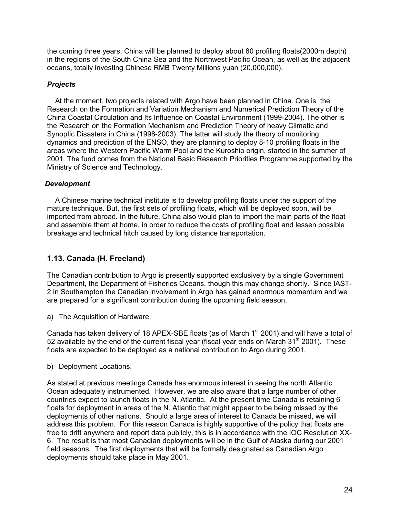<span id="page-23-0"></span>the coming three years, China will be planned to deploy about 80 profiling floats(2000m depth) in the regions of the South China Sea and the Northwest Pacific Ocean, as well as the adjacent oceans, totally investing Chinese RMB Twenty Millions yuan (20,000,000).

#### *Projects*

 At the moment, two projects related with Argo have been planned in China. One is the Research on the Formation and Variation Mechanism and Numerical Prediction Theory of the China Coastal Circulation and Its Influence on Coastal Environment (1999-2004). The other is the Research on the Formation Mechanism and Prediction Theory of heavy Climatic and Synoptic Disasters in China (1998-2003). The latter will study the theory of monitoring, dynamics and prediction of the ENSO, they are planning to deploy 8-10 profiling floats in the areas where the Western Pacific Warm Pool and the Kuroshio origin, started in the summer of 2001. The fund comes from the National Basic Research Priorities Programme supported by the Ministry of Science and Technology.

#### *Development*

 A Chinese marine technical institute is to develop profiling floats under the support of the mature technique. But, the first sets of profiling floats, which will be deployed soon, will be imported from abroad. In the future, China also would plan to import the main parts of the float and assemble them at home, in order to reduce the costs of profiling float and lessen possible breakage and technical hitch caused by long distance transportation.

## **1.13. Canada (H. Freeland)**

The Canadian contribution to Argo is presently supported exclusively by a single Government Department, the Department of Fisheries Oceans, though this may change shortly. Since IAST-2 in Southampton the Canadian involvement in Argo has gained enormous momentum and we are prepared for a significant contribution during the upcoming field season.

a) The Acquisition of Hardware.

Canada has taken delivery of 18 APEX-SBE floats (as of March  $1<sup>st</sup>$  2001) and will have a total of 52 available by the end of the current fiscal year (fiscal year ends on March  $31<sup>st</sup> 2001$ ). These floats are expected to be deployed as a national contribution to Argo during 2001.

b) Deployment Locations.

As stated at previous meetings Canada has enormous interest in seeing the north Atlantic Ocean adequately instrumented. However, we are also aware that a large number of other countries expect to launch floats in the N. Atlantic. At the present time Canada is retaining 6 floats for deployment in areas of the N. Atlantic that might appear to be being missed by the deployments of other nations. Should a large area of interest to Canada be missed, we will address this problem. For this reason Canada is highly supportive of the policy that floats are free to drift anywhere and report data publicly, this is in accordance with the IOC Resolution XX-6. The result is that most Canadian deployments will be in the Gulf of Alaska during our 2001 field seasons. The first deployments that will be formally designated as Canadian Argo deployments should take place in May 2001.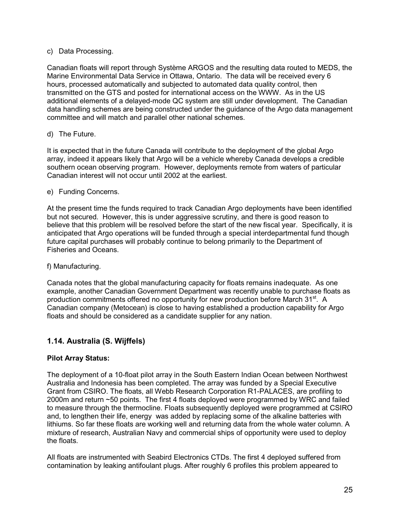#### <span id="page-24-0"></span>c) Data Processing.

Canadian floats will report through Système ARGOS and the resulting data routed to MEDS, the Marine Environmental Data Service in Ottawa, Ontario. The data will be received every 6 hours, processed automatically and subjected to automated data quality control, then transmitted on the GTS and posted for international access on the WWW. As in the US additional elements of a delayed-mode QC system are still under development. The Canadian data handling schemes are being constructed under the guidance of the Argo data management committee and will match and parallel other national schemes.

#### d) The Future.

It is expected that in the future Canada will contribute to the deployment of the global Argo array, indeed it appears likely that Argo will be a vehicle whereby Canada develops a credible southern ocean observing program. However, deployments remote from waters of particular Canadian interest will not occur until 2002 at the earliest.

#### e) Funding Concerns.

At the present time the funds required to track Canadian Argo deployments have been identified but not secured. However, this is under aggressive scrutiny, and there is good reason to believe that this problem will be resolved before the start of the new fiscal year. Specifically, it is anticipated that Argo operations will be funded through a special interdepartmental fund though future capital purchases will probably continue to belong primarily to the Department of Fisheries and Oceans.

#### f) Manufacturing.

Canada notes that the global manufacturing capacity for floats remains inadequate. As one example, another Canadian Government Department was recently unable to purchase floats as production commitments offered no opportunity for new production before March 31<sup>st</sup>. A Canadian company (Metocean) is close to having established a production capability for Argo floats and should be considered as a candidate supplier for any nation.

## **1.14. Australia (S. Wijffels)**

## **Pilot Array Status:**

The deployment of a 10-float pilot array in the South Eastern Indian Ocean between Northwest Australia and Indonesia has been completed. The array was funded by a Special Executive Grant from CSIRO. The floats, all Webb Research Corporation R1-PALACES, are profiling to 2000m and return ~50 points. The first 4 floats deployed were programmed by WRC and failed to measure through the thermocline. Floats subsequently deployed were programmed at CSIRO and, to lengthen their life, energy was added by replacing some of the alkaline batteries with lithiums. So far these floats are working well and returning data from the whole water column. A mixture of research, Australian Navy and commercial ships of opportunity were used to deploy the floats.

All floats are instrumented with Seabird Electronics CTDs. The first 4 deployed suffered from contamination by leaking antifoulant plugs. After roughly 6 profiles this problem appeared to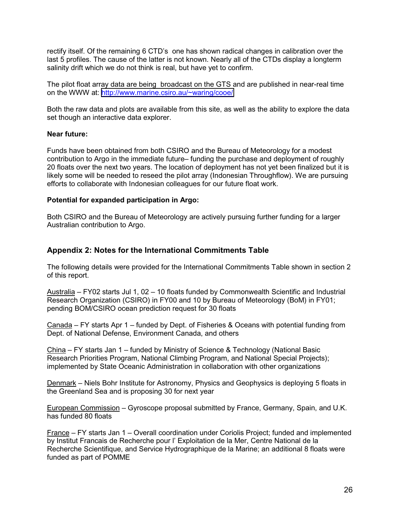<span id="page-25-0"></span>rectify itself. Of the remaining 6 CTD's one has shown radical changes in calibration over the last 5 profiles. The cause of the latter is not known. Nearly all of the CTDs display a longterm salinity drift which we do not think is real, but have yet to confirm.

The pilot float array data are being broadcast on the GTS and are published in near-real time on the WWW at:<http://www.marine.csiro.au/~waring/cooe/>

Both the raw data and plots are available from this site, as well as the ability to explore the data set though an interactive data explorer.

#### **Near future:**

Funds have been obtained from both CSIRO and the Bureau of Meteorology for a modest contribution to Argo in the immediate future– funding the purchase and deployment of roughly 20 floats over the next two years. The location of deployment has not yet been finalized but it is likely some will be needed to reseed the pilot array (Indonesian Throughflow). We are pursuing efforts to collaborate with Indonesian colleagues for our future float work.

#### **Potential for expanded participation in Argo:**

Both CSIRO and the Bureau of Meteorology are actively pursuing further funding for a larger Australian contribution to Argo.

#### **Appendix 2: Notes for the International Commitments Table**

The following details were provided for the International Commitments Table shown in section 2 of this report.

Australia – FY02 starts Jul 1, 02 – 10 floats funded by Commonwealth Scientific and Industrial Research Organization (CSIRO) in FY00 and 10 by Bureau of Meteorology (BoM) in FY01; pending BOM/CSIRO ocean prediction request for 30 floats

Canada – FY starts Apr 1 – funded by Dept. of Fisheries & Oceans with potential funding from Dept. of National Defense, Environment Canada, and others

China – FY starts Jan 1 – funded by Ministry of Science & Technology (National Basic Research Priorities Program, National Climbing Program, and National Special Projects); implemented by State Oceanic Administration in collaboration with other organizations

Denmark – Niels Bohr Institute for Astronomy, Physics and Geophysics is deploying 5 floats in the Greenland Sea and is proposing 30 for next year

European Commission – Gyroscope proposal submitted by France, Germany, Spain, and U.K. has funded 80 floats

France – FY starts Jan 1 – Overall coordination under Coriolis Project; funded and implemented by Institut Francais de Recherche pour l' Exploitation de la Mer, Centre National de la Recherche Scientifique, and Service Hydrographique de la Marine; an additional 8 floats were funded as part of POMME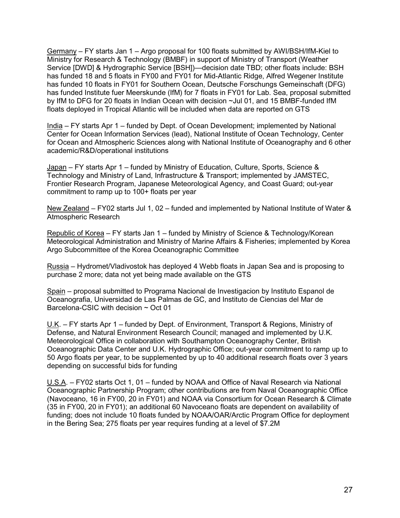Germany – FY starts Jan 1 – Argo proposal for 100 floats submitted by AWI/BSH/IfM-Kiel to Ministry for Research & Technology (BMBF) in support of Ministry of Transport (Weather Service [DWD] & Hydrographic Service [BSH])—decision date TBD; other floats include: BSH has funded 18 and 5 floats in FY00 and FY01 for Mid-Atlantic Ridge, Alfred Wegener Institute has funded 10 floats in FY01 for Southern Ocean, Deutsche Forschungs Gemeinschaft (DFG) has funded Institute fuer Meerskunde (IfM) for 7 floats in FY01 for Lab. Sea, proposal submitted by IfM to DFG for 20 floats in Indian Ocean with decision ~Jul 01, and 15 BMBF-funded IfM floats deployed in Tropical Atlantic will be included when data are reported on GTS

India – FY starts Apr 1 – funded by Dept. of Ocean Development; implemented by National Center for Ocean Information Services (lead), National Institute of Ocean Technology, Center for Ocean and Atmospheric Sciences along with National Institute of Oceanography and 6 other academic/R&D/operational institutions

Japan – FY starts Apr 1 – funded by Ministry of Education, Culture, Sports, Science & Technology and Ministry of Land, Infrastructure & Transport; implemented by JAMSTEC, Frontier Research Program, Japanese Meteorological Agency, and Coast Guard; out-year commitment to ramp up to 100+ floats per year

New Zealand – FY02 starts Jul 1, 02 – funded and implemented by National Institute of Water & Atmospheric Research

Republic of Korea – FY starts Jan 1 – funded by Ministry of Science & Technology/Korean Meteorological Administration and Ministry of Marine Affairs & Fisheries; implemented by Korea Argo Subcommittee of the Korea Oceanographic Committee

Russia – Hydromet/Vladivostok has deployed 4 Webb floats in Japan Sea and is proposing to purchase 2 more; data not yet being made available on the GTS

Spain – proposal submitted to Programa Nacional de Investigacion by Instituto Espanol de Oceanografia, Universidad de Las Palmas de GC, and Instituto de Ciencias del Mar de Barcelona-CSIC with decision ~ Oct 01

U.K. – FY starts Apr 1 – funded by Dept. of Environment, Transport & Regions, Ministry of Defense, and Natural Environment Research Council; managed and implemented by U.K. Meteorological Office in collaboration with Southampton Oceanography Center, British Oceanographic Data Center and U.K. Hydrographic Office; out-year commitment to ramp up to 50 Argo floats per year, to be supplemented by up to 40 additional research floats over 3 years depending on successful bids for funding

U.S.A. – FY02 starts Oct 1, 01 – funded by NOAA and Office of Naval Research via National Oceanographic Partnership Program; other contributions are from Naval Oceanographic Office (Navoceano, 16 in FY00, 20 in FY01) and NOAA via Consortium for Ocean Research & Climate (35 in FY00, 20 in FY01); an additional 60 Navoceano floats are dependent on availability of funding; does not include 10 floats funded by NOAA/OAR/Arctic Program Office for deployment in the Bering Sea; 275 floats per year requires funding at a level of \$7.2M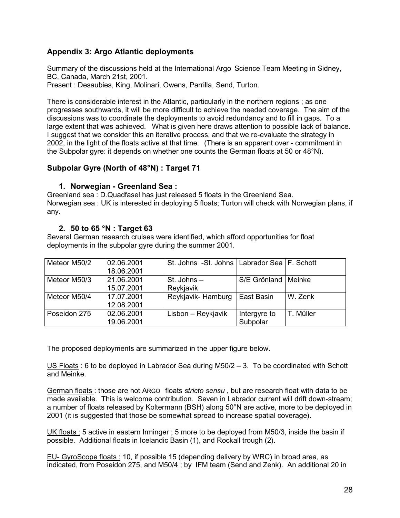## <span id="page-27-0"></span>**Appendix 3: Argo Atlantic deployments**

Summary of the discussions held at the International Argo Science Team Meeting in Sidney, BC, Canada, March 21st, 2001.

Present : Desaubies, King, Molinari, Owens, Parrilla, Send, Turton.

There is considerable interest in the Atlantic, particularly in the northern regions ; as one progresses southwards, it will be more difficult to achieve the needed coverage. The aim of the discussions was to coordinate the deployments to avoid redundancy and to fill in gaps. To a large extent that was achieved. What is given here draws attention to possible lack of balance. I suggest that we consider this an iterative process, and that we re-evaluate the strategy in 2002, in the light of the floats active at that time. (There is an apparent over - commitment in the Subpolar gyre: it depends on whether one counts the German floats at 50 or 48°N).

#### **Subpolar Gyre (North of 48°N) : Target 71**

#### **1. Norwegian - Greenland Sea :**

Greenland sea : D.Quadfasel has just released 5 floats in the Greenland Sea. Norwegian sea : UK is interested in deploying 5 floats; Turton will check with Norwegian plans, if any.

#### **2. 50 to 65 °N : Target 63**

Several German research cruises were identified, which afford opportunities for float deployments in the subpolar gyre during the summer 2001.

| Meteor M50/2 | 02.06.2001 | St. Johns -St. Johns   Labrador Sea   F. Schott |              |           |
|--------------|------------|-------------------------------------------------|--------------|-----------|
|              | 18.06.2001 |                                                 |              |           |
| Meteor M50/3 | 21.06.2001 | St. Johns $-$                                   | S/E Grönland | Meinke    |
|              | 15.07.2001 | Reykjavik                                       |              |           |
| Meteor M50/4 | 17.07.2001 | Reykjavik-Hamburg                               | East Basin   | W. Zenk   |
|              | 12.08.2001 |                                                 |              |           |
| Poseidon 275 | 02.06.2001 | Lisbon – Reykjavik                              | Intergyre to | T. Müller |
|              | 19.06.2001 |                                                 | Subpolar     |           |

The proposed deployments are summarized in the upper figure below.

US Floats : 6 to be deployed in Labrador Sea during M50/2 – 3. To be coordinated with Schott and Meinke.

German floats : those are not ARGO floats *stricto sensu* , but are research float with data to be made available. This is welcome contribution. Seven in Labrador current will drift down-stream; a number of floats released by Koltermann (BSH) along 50°N are active, more to be deployed in 2001 (it is suggested that those be somewhat spread to increase spatial coverage).

UK floats : 5 active in eastern Irminger ; 5 more to be deployed from M50/3, inside the basin if possible. Additional floats in Icelandic Basin (1), and Rockall trough (2).

EU- GyroScope floats : 10, if possible 15 (depending delivery by WRC) in broad area, as indicated, from Poseidon 275, and M50/4 ; by IFM team (Send and Zenk). An additional 20 in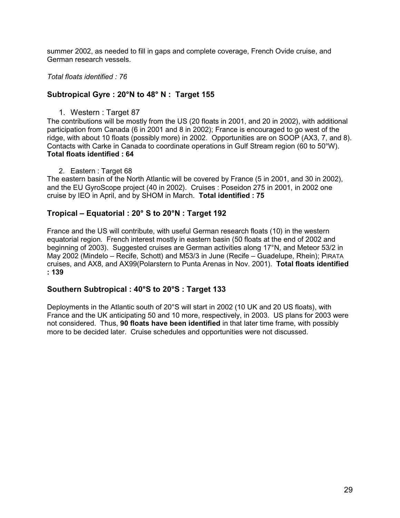summer 2002, as needed to fill in gaps and complete coverage, French Ovide cruise, and German research vessels.

*Total floats identified : 76*

## **Subtropical Gyre : 20°N to 48° N : Target 155**

1. Western : Target 87

The contributions will be mostly from the US (20 floats in 2001, and 20 in 2002), with additional participation from Canada (6 in 2001 and 8 in 2002); France is encouraged to go west of the ridge, with about 10 floats (possibly more) in 2002. Opportunities are on SOOP (AX3, 7, and 8). Contacts with Carke in Canada to coordinate operations in Gulf Stream region (60 to 50°W). **Total floats identified : 64**

2. Eastern: Target 68

The eastern basin of the North Atlantic will be covered by France (5 in 2001, and 30 in 2002), and the EU GyroScope project (40 in 2002). Cruises : Poseidon 275 in 2001, in 2002 one cruise by IEO in April, and by SHOM in March. **Total identified : 75**

## **Tropical – Equatorial : 20° S to 20°N : Target 192**

France and the US will contribute, with useful German research floats (10) in the western equatorial region. French interest mostly in eastern basin (50 floats at the end of 2002 and beginning of 2003). Suggested cruises are German activities along 17°N, and Meteor 53/2 in May 2002 (Mindelo – Recife, Schott) and M53/3 in June (Recife – Guadelupe, Rhein); PIRATA cruises, and AX8, and AX99(Polarstern to Punta Arenas in Nov. 2001). **Total floats identified : 139**

## **Southern Subtropical : 40°S to 20°S : Target 133**

Deployments in the Atlantic south of 20°S will start in 2002 (10 UK and 20 US floats), with France and the UK anticipating 50 and 10 more, respectively, in 2003. US plans for 2003 were not considered. Thus, **90 floats have been identified** in that later time frame, with possibly more to be decided later. Cruise schedules and opportunities were not discussed.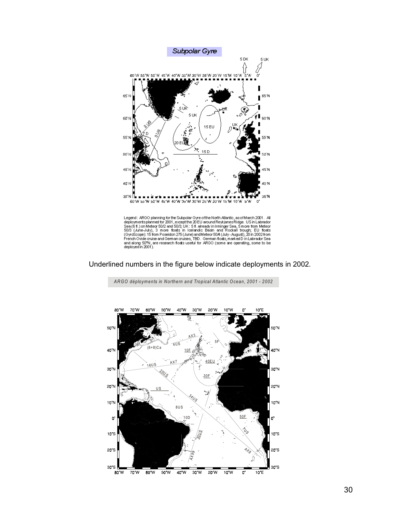

Legend: ARGO planning for the Subpolar Gyre of the North Atlantic, as of March 2001. All deployments planned for 2001, except the 20 EU around Reykjanes Ridge. US in Labrador Sea (6 ft.) on Meteor 50/2 and 50/3 UK: 5 ft. a

Underlined numbers in the figure below indicate deployments in 2002.



*ARGO déploym ents in Northern and Tropical Atlantic Ocean, 2001 - 2002*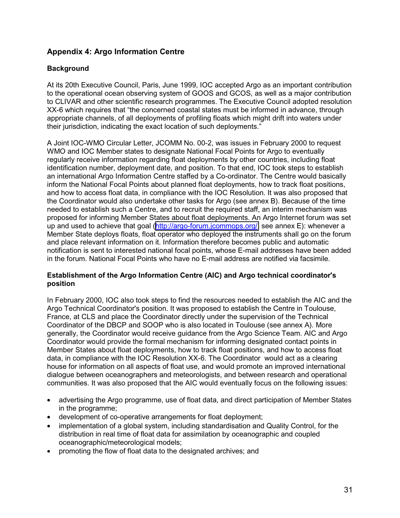## <span id="page-30-0"></span>**Appendix 4: Argo Information Centre**

#### **Background**

At its 20th Executive Council, Paris, June 1999, IOC accepted Argo as an important contribution to the operational ocean observing system of GOOS and GCOS, as well as a major contribution to CLIVAR and other scientific research programmes. The Executive Council adopted resolution XX-6 which requires that "the concerned coastal states must be informed in advance, through appropriate channels, of all deployments of profiling floats which might drift into waters under their jurisdiction, indicating the exact location of such deployments."

A Joint IOC-WMO Circular Letter, JCOMM No. 00-2, was issues in February 2000 to request WMO and IOC Member states to designate National Focal Points for Argo to eventually regularly receive information regarding float deployments by other countries, including float identification number, deployment date, and position. To that end, IOC took steps to establish an international Argo Information Centre staffed by a Co-ordinator. The Centre would basically inform the National Focal Points about planned float deployments, how to track float positions, and how to access float data, in compliance with the IOC Resolution. It was also proposed that the Coordinator would also undertake other tasks for Argo (see annex B). Because of the time needed to establish such a Centre, and to recruit the required staff, an interim mechanism was proposed for informing Member States about float deployments. An Argo Internet forum was set up and used to achieve that goal ([http://argo-forum.jcommops.org/,](http://argo-forum.jcommops.org/) see annex E): whenever a Member State deploys floats, float operator who deployed the instruments shall go on the forum and place relevant information on it. Information therefore becomes public and automatic notification is sent to interested national focal points, whose E-mail addresses have been added in the forum. National Focal Points who have no E-mail address are notified via facsimile.

#### **Establishment of the Argo Information Centre (AIC) and Argo technical coordinator's position**

In February 2000, IOC also took steps to find the resources needed to establish the AIC and the Argo Technical Coordinator's position. It was proposed to establish the Centre in Toulouse, France, at CLS and place the Coordinator directly under the supervision of the Technical Coordinator of the DBCP and SOOP who is also located in Toulouse (see annex A). More generally, the Coordinator would receive guidance from the Argo Science Team. AIC and Argo Coordinator would provide the formal mechanism for informing designated contact points in Member States about float deployments, how to track float positions, and how to access float data, in compliance with the IOC Resolution XX-6. The Coordinator would act as a clearing house for information on all aspects of float use, and would promote an improved international dialogue between oceanographers and meteorologists, and between research and operational communities. It was also proposed that the AIC would eventually focus on the following issues:

- advertising the Argo programme, use of float data, and direct participation of Member States in the programme;
- development of co-operative arrangements for float deployment;
- implementation of a global system, including standardisation and Quality Control, for the distribution in real time of float data for assimilation by oceanographic and coupled oceanographic/meteorological models;
- promoting the flow of float data to the designated archives; and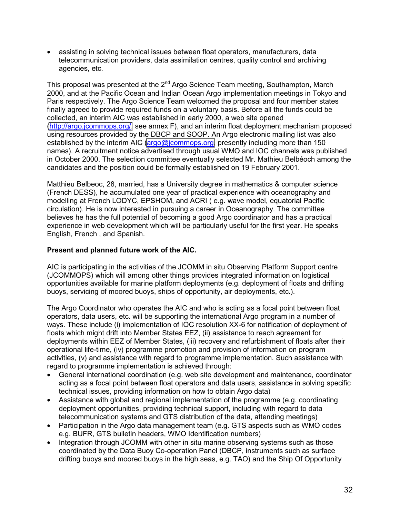• assisting in solving technical issues between float operators, manufacturers, data telecommunication providers, data assimilation centres, quality control and archiving agencies, etc.

This proposal was presented at the 2<sup>nd</sup> Argo Science Team meeting, Southampton, March 2000, and at the Pacific Ocean and Indian Ocean Argo implementation meetings in Tokyo and Paris respectively. The Argo Science Team welcomed the proposal and four member states finally agreed to provide required funds on a voluntary basis. Before all the funds could be collected, an interim AIC was established in early 2000, a web site opened [\(http://argo.jcommops.org/,](http://argo.jcommops.org/) see annex F), and an interim float deployment mechanism proposed using resources provided by the DBCP and SOOP. An Argo electronic mailing list was also established by the interim AIC [\(argo@jcommops.org,](mailto:argo@jcommops.org) presently including more than 150 names). A recruitment notice advertised through usual WMO and IOC channels was published in October 2000. The selection committee eventually selected Mr. Mathieu Belbéoch among the candidates and the position could be formally established on 19 February 2001.

Matthieu Belbeoc, 28, married, has a University degree in mathematics & computer science (French DESS), he accumulated one year of practical experience with oceanography and modelling at French LODYC, EPSHOM, and ACRI ( e.g. wave model, equatorial Pacific circulation). He is now interested in pursuing a career in Oceanography. The committee believes he has the full potential of becoming a good Argo coordinator and has a practical experience in web development which will be particularly useful for the first year. He speaks English, French , and Spanish.

#### **Present and planned future work of the AIC.**

AIC is participating in the activities of the JCOMM in situ Observing Platform Support centre (JCOMMOPS) which will among other things provides integrated information on logistical opportunities available for marine platform deployments (e.g. deployment of floats and drifting buoys, servicing of moored buoys, ships of opportunity, air deployments, etc.).

The Argo Coordinator who operates the AIC and who is acting as a focal point between float operators, data users, etc. will be supporting the international Argo program in a number of ways. These include (i) implementation of IOC resolution XX-6 for notification of deployment of floats which might drift into Member States EEZ, (ii) assistance to reach agreement for deployments within EEZ of Member States, (iii) recovery and refurbishment of floats after their operational life-time, (iv) programme promotion and provision of information on program activities, (v) and assistance with regard to programme implementation. Such assistance with regard to programme implementation is achieved through:

- General international coordination (e.g. web site development and maintenance, coordinator acting as a focal point between float operators and data users, assistance in solving specific technical issues, providing information on how to obtain Argo data)
- Assistance with global and regional implementation of the programme (e.g. coordinating deployment opportunities, providing technical support, including with regard to data telecommunication systems and GTS distribution of the data, attending meetings)
- Participation in the Argo data management team (e.g. GTS aspects such as WMO codes e.g. BUFR, GTS bulletin headers, WMO Identification numbers)
- Integration through JCOMM with other in situ marine observing systems such as those coordinated by the Data Buoy Co-operation Panel (DBCP, instruments such as surface drifting buoys and moored buoys in the high seas, e.g. TAO) and the Ship Of Opportunity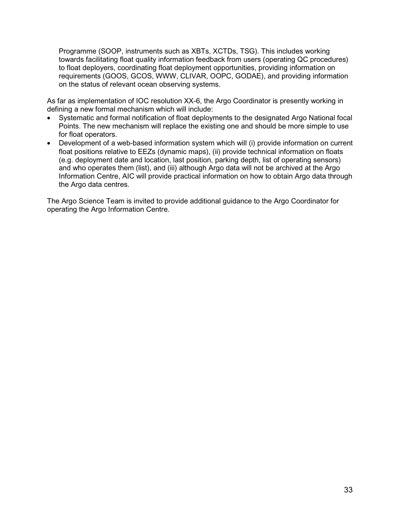Programme (SOOP, instruments such as XBTs, XCTDs, TSG). This includes working towards facilitating float quality information feedback from users (operating QC procedures) to float deployers, coordinating float deployment opportunities, providing information on requirements (GOOS, GCOS, WWW, CLIVAR, OOPC, GODAE), and providing information on the status of relevant ocean observing systems.

As far as implementation of IOC resolution XX-6, the Argo Coordinator is presently working in defining a new formal mechanism which will include:

- Systematic and formal notification of float deployments to the designated Argo National focal Points. The new mechanism will replace the existing one and should be more simple to use for float operators.
- Development of a web-based information system which will (i) provide information on current float positions relative to EEZs (dynamic maps), (ii) provide technical information on floats (e.g. deployment date and location, last position, parking depth, list of operating sensors) and who operates them (list), and (iii) although Argo data will not be archived at the Argo Information Centre, AIC will provide practical information on how to obtain Argo data through the Argo data centres.

The Argo Science Team is invited to provide additional guidance to the Argo Coordinator for operating the Argo Information Centre.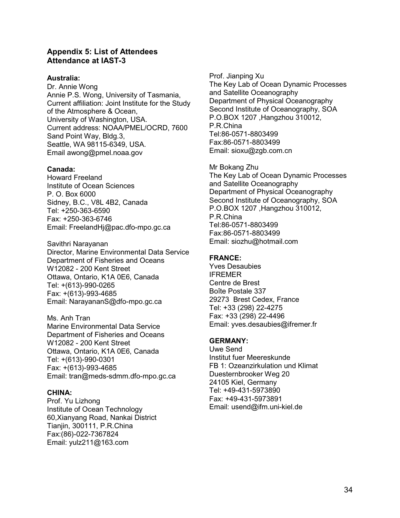#### <span id="page-33-0"></span>**Appendix 5: List of Attendees Attendance at IAST-3**

#### **Australia:**

Dr. Annie Wong Annie P.S. Wong, University of Tasmania, Current affiliation: Joint Institute for the Study of the Atmosphere & Ocean, University of Washington, USA. Current address: NOAA/PMEL/OCRD, 7600 Sand Point Way, Bldg.3, Seattle, WA 98115-6349, USA. Email awong@pmel.noaa.gov

#### **Canada:**

Howard Freeland Institute of Ocean Sciences P. O. Box 6000 Sidney, B.C., V8L 4B2, Canada Tel: +250-363-6590 Fax: +250-363-6746 Email: FreelandHj@pac.dfo-mpo.gc.ca

Savithri Narayanan Director, Marine Environmental Data Service Department of Fisheries and Oceans W12082 - 200 Kent Street Ottawa, Ontario, K1A 0E6, Canada Tel: +(613)-990-0265 Fax: +(613)-993-4685 Email: NarayananS@dfo-mpo.gc.ca

Ms. Anh Tran Marine Environmental Data Service Department of Fisheries and Oceans W12082 - 200 Kent Street Ottawa, Ontario, K1A 0E6, Canada Tel: +(613)-990-0301 Fax: +(613)-993-4685 Email: tran@meds-sdmm.dfo-mpo.gc.ca

#### **CHINA:**

Prof. Yu Lizhong Institute of Ocean Technology 60,Xianyang Road, Nankai District Tianjin, 300111, P.R.China Fax:(86)-022-7367824 Email: yulz211@163.com

Prof. Jianping Xu The Key Lab of Ocean Dynamic Processes and Satellite Oceanography Department of Physical Oceanography Second Institute of Oceanography, SOA P.O.BOX 1207 ,Hangzhou 310012, P.R.China Tel:86-0571-8803499 Fax:86-0571-8803499 Email: sioxu@zgb.com.cn

Mr Bokang Zhu The Key Lab of Ocean Dynamic Processes and Satellite Oceanography Department of Physical Oceanography Second Institute of Oceanography, SOA P.O.BOX 1207 ,Hangzhou 310012, P.R.China Tel:86-0571-8803499 Fax:86-0571-8803499 Email: siozhu@hotmail.com

#### **FRANCE:**

Yves Desaubies IFREMER Centre de Brest Boîte Postale 337 29273 Brest Cedex, France Tel: +33 (298) 22-4275 Fax: +33 (298) 22-4496 Email: yves.desaubies@ifremer.fr

#### **GERMANY:**

Uwe Send Institut fuer Meereskunde FB 1: Ozeanzirkulation und Klimat Duesternbrooker Weg 20 24105 Kiel, Germany Tel: +49-431-5973890 Fax: +49-431-5973891 Email: usend@ifm.uni-kiel.de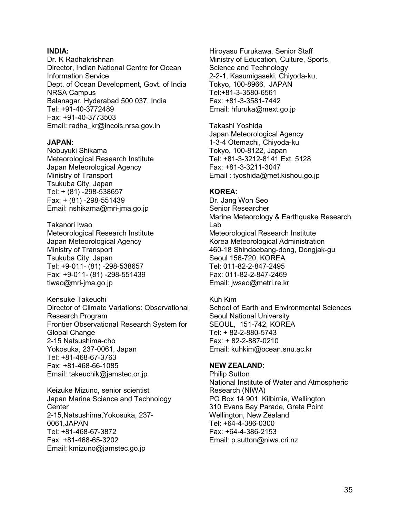#### **INDIA:**

Dr. K Radhakrishnan Director, Indian National Centre for Ocean Information Service Dept. of Ocean Development, Govt. of India NRSA Campus Balanagar, Hyderabad 500 037, India Tel: +91-40-3772489 Fax: +91-40-3773503 Email: radha\_kr@incois.nrsa.gov.in

#### **JAPAN:**

Nobuyuki Shikama Meteorological Research Institute Japan Meteorological Agency Ministry of Transport Tsukuba City, Japan Tel: + (81) -298-538657 Fax: + (81) -298-551439 Email: nshikama@mri-jma.go.jp

Takanori Iwao Meteorological Research Institute Japan Meteorological Agency Ministry of Transport Tsukuba City, Japan Tel: +9-011- (81) -298-538657 Fax: +9-011- (81) -298-551439 tiwao@mri-jma.go.jp

Kensuke Takeuchi Director of Climate Variations: Observational Research Program Frontier Observational Research System for Global Change 2-15 Natsushima-cho Yokosuka, 237-0061, Japan Tel: +81-468-67-3763 Fax: +81-468-66-1085 Email: takeuchik@jamstec.or.jp

Keizuke Mizuno, senior scientist Japan Marine Science and Technology **Center** 2-15,Natsushima,Yokosuka, 237- 0061,JAPAN Tel: +81-468-67-3872 Fax: +81-468-65-3202 Email: kmizuno@jamstec.go.jp

Hiroyasu Furukawa, Senior Staff Ministry of Education, Culture, Sports, Science and Technology 2-2-1, Kasumigaseki, Chiyoda-ku, Tokyo, 100-8966, JAPAN Tel:+81-3-3580-6561 Fax: +81-3-3581-7442 Email: hfuruka@mext.go.jp

Takashi Yoshida Japan Meteorological Agency 1-3-4 Otemachi, Chiyoda-ku Tokyo, 100-8122, Japan Tel: +81-3-3212-8141 Ext. 5128 Fax: +81-3-3211-3047 Email : tyoshida@met.kishou.go.jp

#### **KOREA:**

Dr. Jang Won Seo Senior Researcher Marine Meteorology & Earthquake Research Lab Meteorological Research Institute Korea Meteorological Administration 460-18 Shindaebang-dong, Dongjak-gu Seoul 156-720, KOREA Tel: 011-82-2-847-2495 Fax: 011-82-2-847-2469 Email: jwseo@metri.re.kr

Kuh Kim School of Earth and Environmental Sciences Seoul National University SEOUL, 151-742, KOREA Tel: + 82-2-880-5743 Fax: + 82-2-887-0210 Email: kuhkim@ocean.snu.ac.kr

#### **NEW ZEALAND:**

Philip Sutton National Institute of Water and Atmospheric Research (NIWA) PO Box 14 901, Kilbirnie, Wellington 310 Evans Bay Parade, Greta Point Wellington, New Zealand Tel: +64-4-386-0300 Fax: +64-4-386-2153 Email: p.sutton@niwa.cri.nz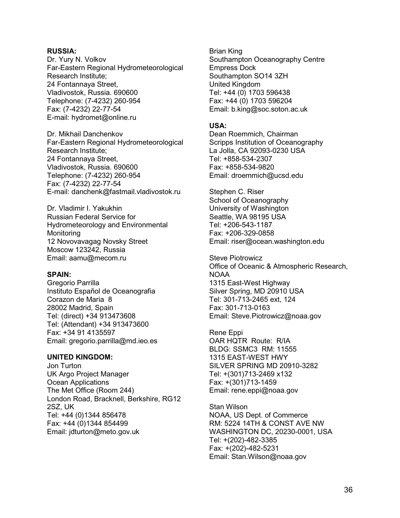#### **RUSSIA:**

Dr. Yury N. Volkov Far-Eastern Regional Hydrometeorological Research Institute; 24 Fontannaya Street, Vladivostok, Russia. 690600 Telephone: (7-4232) 260-954 Fax: (7-4232) 22-77-54 E-mail: hydromet@online.ru

Dr. Mikhail Danchenkov Far-Eastern Regional Hydrometeorological Research Institute; 24 Fontannaya Street, Vladivostok, Russia. 690600 Telephone: (7-4232) 260-954 Fax: (7-4232) 22-77-54 E-mail: danchenk@fastmail.vladivostok.ru

Dr. Vladimir I. Yakukhin Russian Federal Service for Hydrometeorology and Environmental Monitoring 12 Novovavagag Novsky Street Moscow 123242, Russia Email: aamu@mecom.ru

#### **SPAIN:**

Gregorio Parrilla Instituto Español de Oceanografia Corazon de Maria 8 28002 Madrid, Spain Tel: (direct) +34 913473608 Tel: (Attendant) +34 913473600 Fax: +34 91 4135597 Email: gregorio.parrilla@md.ieo.es

#### **UNITED KINGDOM:**

Jon Turton UK Argo Project Manager Ocean Applications The Met Office (Room 244) London Road, Bracknell, Berkshire, RG12 2SZ, UK Tel: +44 (0)1344 856478 Fax: +44 (0)1344 854499 Email: jdturton@meto.gov.uk

Brian King Southampton Oceanography Centre Empress Dock Southampton SO14 3ZH United Kingdom Tel: +44 (0) 1703 596438 Fax: +44 (0) 1703 596204 Email: b.king@soc.soton.ac.uk

#### **USA:**

Dean Roemmich, Chairman Scripps Institution of Oceanography La Jolla, CA 92093-0230 USA Tel: +858-534-2307 Fax: +858-534-9820 Email: droemmich@ucsd.edu

Stephen C. Riser School of Oceanography University of Washington Seattle, WA 98195 USA Tel: +206-543-1187 Fax: +206-329-0858 Email: riser@ocean.washington.edu

Steve Piotrowicz Office of Oceanic & Atmospheric Research, NOAA 1315 East-West Highway Silver Spring, MD 20910 USA Tel: 301-713-2465 ext, 124 Fax: 301-713-0163 Email: Steve.Piotrowicz@noaa.gov

Rene Eppi OAR HQTR Route: R/IA BLDG: SSMC3 RM: 11555 1315 EAST-WEST HWY SILVER SPRING MD 20910-3282 Tel: +(301)713-2469 x132 Fax: +(301)713-1459 Email: rene.eppi@noaa.gov

Stan Wilson NOAA, US Dept. of Commerce RM: 5224 14TH & CONST AVE NW WASHINGTON DC, 20230-0001, USA Tel: +(202)-482-3385 Fax: +(202)-482-5231 Email: Stan.Wilson@noaa.gov